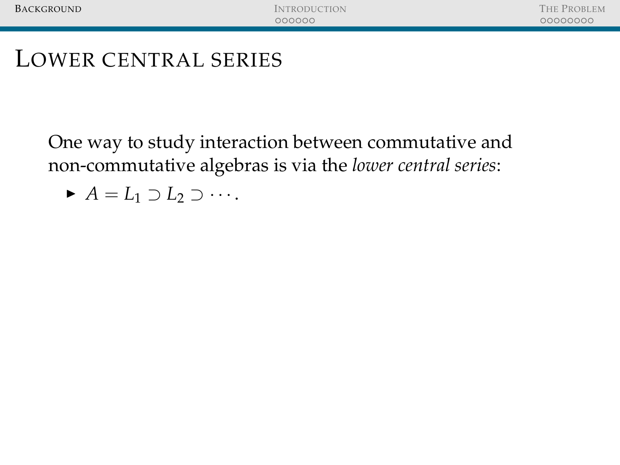One way to study interaction between commutative and non-commutative algebras is via the *lower central series*:

 $\blacktriangleright$  *A* = *L*<sub>1</sub> ⊃ *L*<sub>2</sub> ⊃ · · · .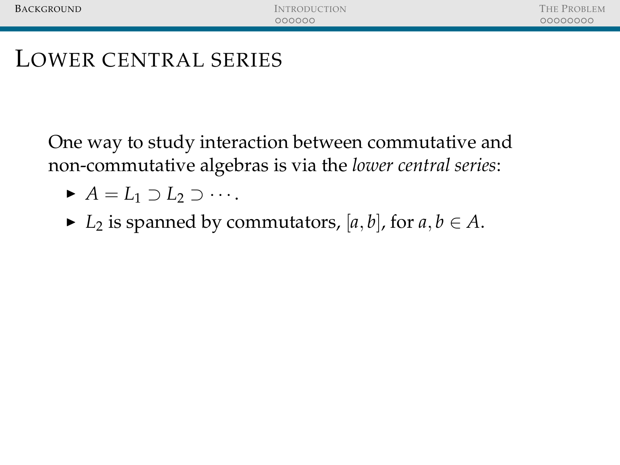- $\blacktriangleright$  *A* = *L*<sub>1</sub> ⊃ *L*<sub>2</sub> ⊃ · · · .
- ► *L*<sub>2</sub> is spanned by commutators, [*a*, *b*], for *a*, *b* ∈ *A*.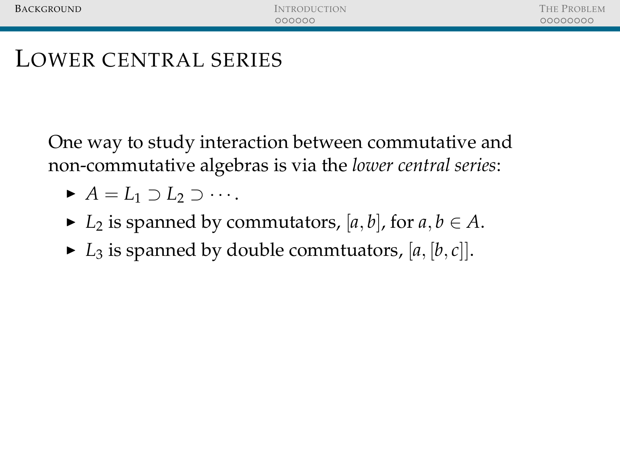- $\blacktriangleright$  *A* = *L*<sub>1</sub> ⊃ *L*<sub>2</sub> ⊃ ···
- $\blacktriangleright$  *L*<sub>2</sub> is spanned by commutators, [a, b], for  $a, b \in A$ .
- $\blacktriangleright$  *L*<sub>3</sub> is spanned by double commtuators, [a, [b, c]].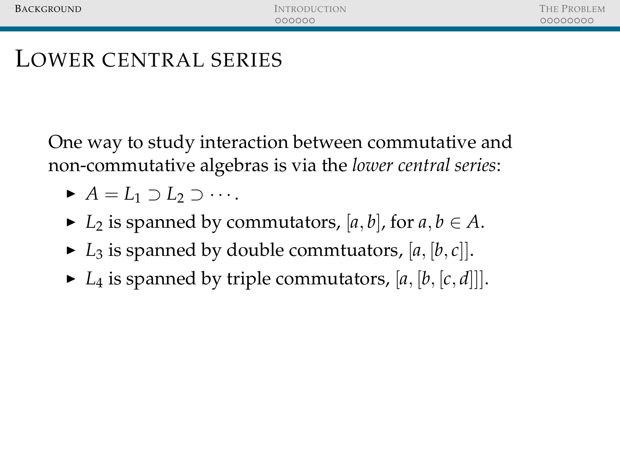- $\blacktriangleright$  *A* = *L*<sub>1</sub> ⊃ *L*<sub>2</sub> ⊃ ···
- $\blacktriangleright$  *L*<sub>2</sub> is spanned by commutators, [a, b], for  $a, b \in A$ .
- $\blacktriangleright$  *L*<sub>3</sub> is spanned by double commtuators, [a, [b, c]].
- $\blacktriangleright$  *L*<sub>4</sub> is spanned by triple commutators, [a, [b, [c, d]].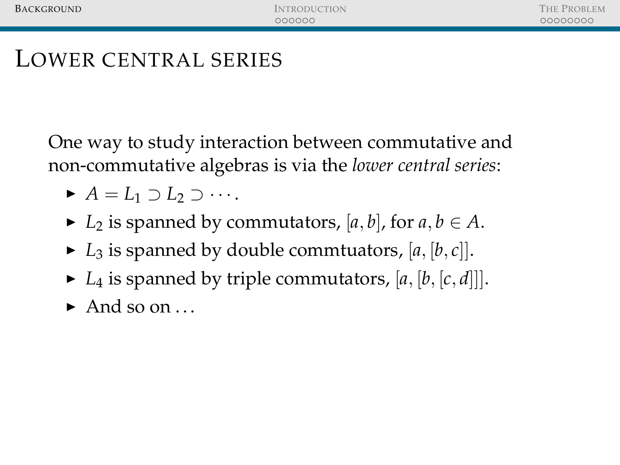- $\blacktriangleright$  *A* = *L*<sub>1</sub> ⊃ *L*<sub>2</sub> ⊃ ···
- $\blacktriangleright$  *L*<sub>2</sub> is spanned by commutators, [a, b], for  $a, b \in A$ .
- $\blacktriangleright$  *L*<sub>3</sub> is spanned by double commtuators, [a, [b, c]].
- $\blacktriangleright$  *L*<sub>4</sub> is spanned by triple commutators, [a, [b, [c, d]].
- $\blacktriangleright$  And so on ...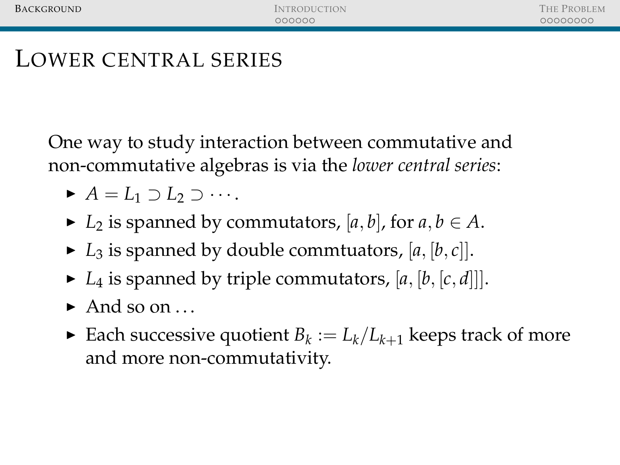- $\blacktriangleright$  *A* = *L*<sub>1</sub> ⊃ *L*<sub>2</sub> ⊃ ···
- ►  $L_2$  is spanned by commutators, [*a*, *b*], for *a*,  $b \in A$ .
- $\blacktriangleright$  *L*<sub>3</sub> is spanned by double commtuators, [a, [b, c]].
- $\blacktriangleright$  *L*<sub>4</sub> is spanned by triple commutators, [a, [b, [c, d]].
- $\blacktriangleright$  And so on ...
- Each successive quotient  $B_k := L_k/L_{k+1}$  keeps track of more and more non-commutativity.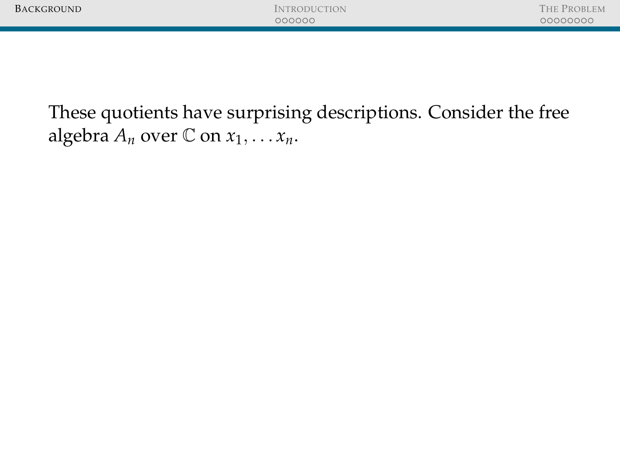| <b>BACKGROUND</b>                                                                                                        | <b>INTRODUCTION</b><br>000000 | <b>THE PROBLEM</b><br>00000000 |
|--------------------------------------------------------------------------------------------------------------------------|-------------------------------|--------------------------------|
| These quotients have surprising descriptions. Consider the free<br>algebra $A_n$ over $\mathbb C$ on $x_1, \ldots x_n$ . |                               |                                |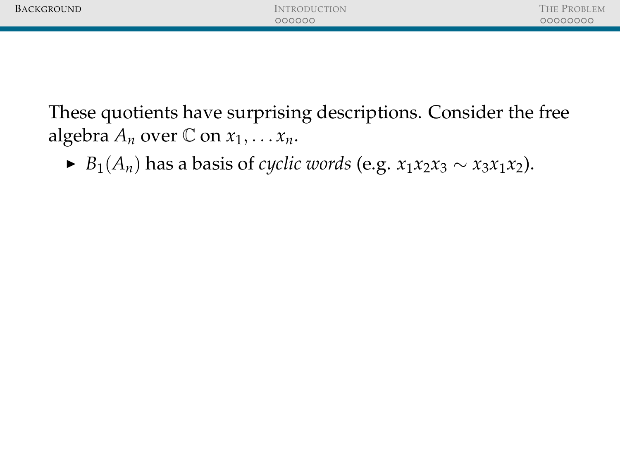| BACKGROUND | <b>INTRODUCTION</b><br>000000 | THE PROBLEM<br>00000000 |
|------------|-------------------------------|-------------------------|
|            |                               |                         |
|            |                               |                         |
|            |                               |                         |
|            |                               |                         |
|            |                               |                         |

 $\triangleright$  *B*<sub>1</sub>(*A*<sub>*n*</sub>) has a basis of *cyclic words* (e.g. *x*<sub>1</sub>*x*<sub>2</sub>*x*<sub>3</sub> ∼ *x*<sub>3</sub>*x*<sub>1</sub>*x*<sub>2</sub>).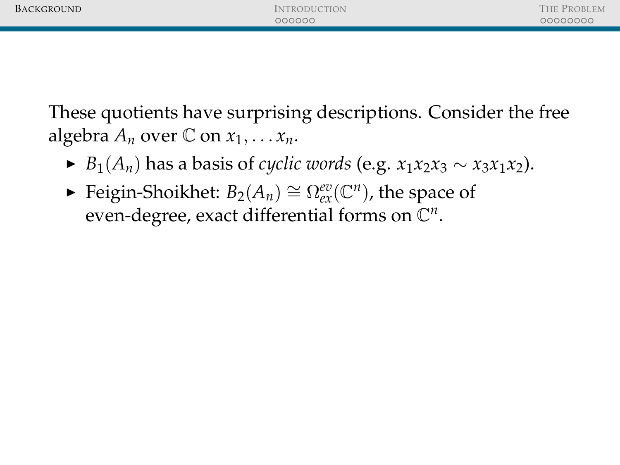| BACKGROUND | <b>INTRODUCTION</b><br>000000 | THE PROBLEM<br>00000000 |
|------------|-------------------------------|-------------------------|
|            |                               |                         |

- $\triangleright$  *B*<sub>1</sub>(*A*<sub>*n*</sub>) has a basis of *cyclic words* (e.g. *x*<sub>1</sub>*x*<sub>2</sub>*x*<sub>3</sub> ∼ *x*<sub>3</sub>*x*<sub>1</sub>*x*<sub>2</sub>).
- ► Feigin-Shoikhet:  $B_2(A_n) \cong \Omega_{ex}^{ev}(\mathbb{C}^n)$ , the space of even-degree, exact differential forms on  $\mathbb{C}^n$ .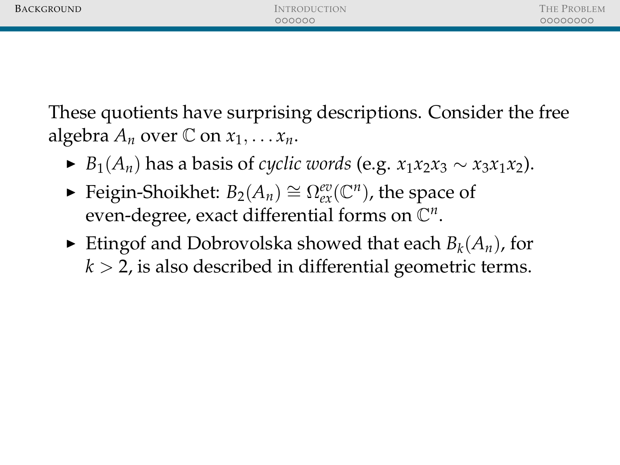| BACKGROUND | <b>INTRODUCTION</b><br>000000 | THE PROBLEM<br>00000000 |
|------------|-------------------------------|-------------------------|
|            |                               |                         |
|            |                               |                         |

- $▶ B_1(A_n)$  has a basis of *cyclic words* (e.g.  $x_1x_2x_3 \sim x_3x_1x_2$ ).
- ► Feigin-Shoikhet:  $B_2(A_n) \cong \Omega_{ex}^{ev}(\mathbb{C}^n)$ , the space of even-degree, exact differential forms on  $\mathbb{C}^n$ .
- $\blacktriangleright$  Etingof and Dobrovolska showed that each  $B_k(A_n)$ , for  $k > 2$ , is also described in differential geometric terms.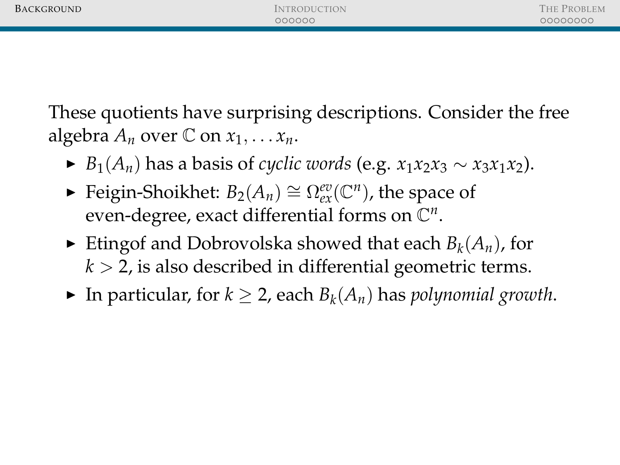| BACKGROUND | <b>INTRODUCTION</b> | THE PROBLEM |
|------------|---------------------|-------------|
|            | 000000              | 00000000    |
|            |                     |             |

- $\triangleright$  *B*<sub>1</sub>(*A*<sub>*n*</sub>) has a basis of *cyclic words* (e.g. *x*<sub>1</sub>*x*<sub>2</sub>*x*<sub>3</sub> ∼ *x*<sub>3</sub>*x*<sub>1</sub>*x*<sub>2</sub>).
- ► Feigin-Shoikhet:  $B_2(A_n) \cong \Omega_{ex}^{ev}(\mathbb{C}^n)$ , the space of even-degree, exact differential forms on  $\mathbb{C}^n$ .
- $\blacktriangleright$  Etingof and Dobrovolska showed that each  $B_k(A_n)$ , for  $k > 2$ , is also described in differential geometric terms.
- ▶ In particular, for  $k \geq 2$ , each  $B_k(A_n)$  has *polynomial growth*.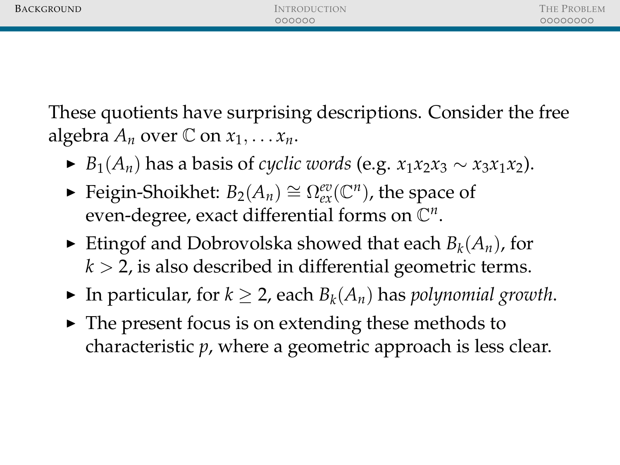- $▶ B_1(A_n)$  has a basis of *cyclic words* (e.g.  $x_1x_2x_3 \sim x_3x_1x_2$ ).
- ► Feigin-Shoikhet:  $B_2(A_n) \cong \Omega_{ex}^{ev}(\mathbb{C}^n)$ , the space of even-degree, exact differential forms on  $\mathbb{C}^n$ .
- $\blacktriangleright$  Etingof and Dobrovolska showed that each  $B_k(A_n)$ , for  $k > 2$ , is also described in differential geometric terms.
- ▶ In particular, for  $k \geq 2$ , each  $B_k(A_n)$  has *polynomial growth*.
- $\triangleright$  The present focus is on extending these methods to characteristic *p*, where a geometric approach is less clear.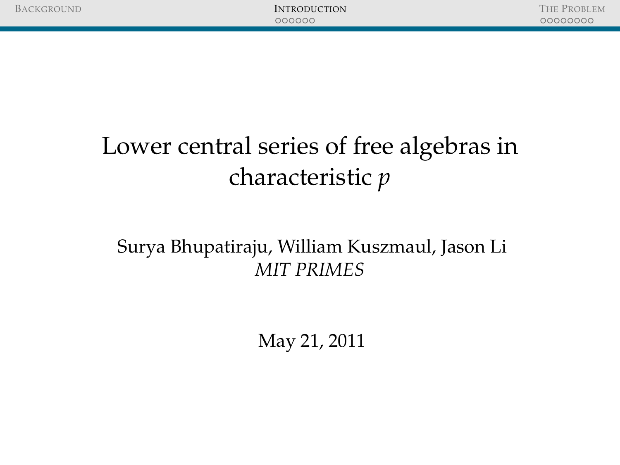# Lower central series of free algebras in characteristic *p*

### <span id="page-13-0"></span>Surya Bhupatiraju, William Kuszmaul, Jason Li *MIT PRIMES*

May 21, 2011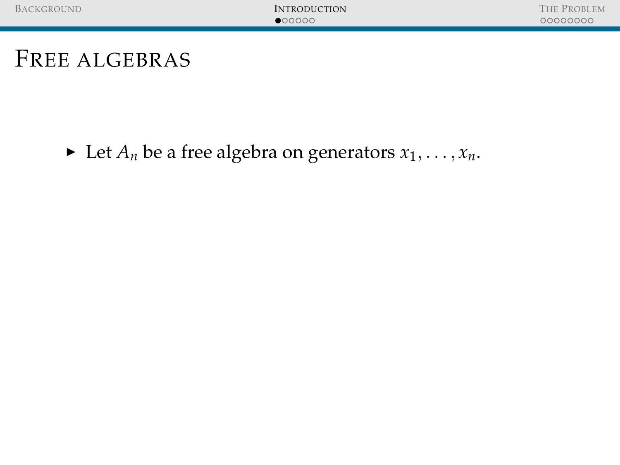$\blacktriangleright$  Let  $A_n$  be a free algebra on generators  $x_1, \ldots, x_n$ .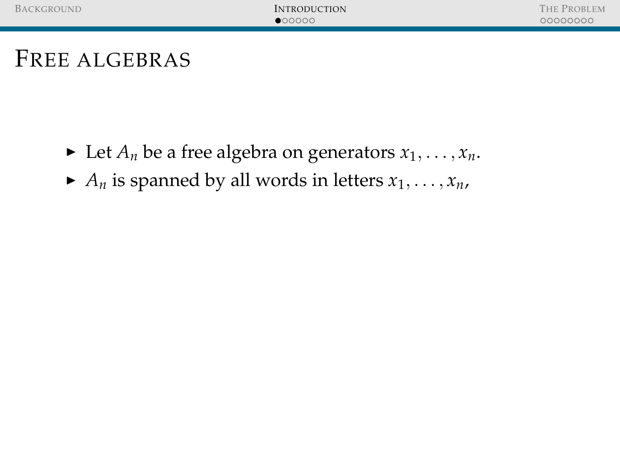- $\blacktriangleright$  Let  $A_n$  be a free algebra on generators  $x_1, \ldots, x_n$ .
- $\blacktriangleright$  *A*<sup>*n*</sup> is spanned by all words in letters  $x_1, \ldots, x_n$ ,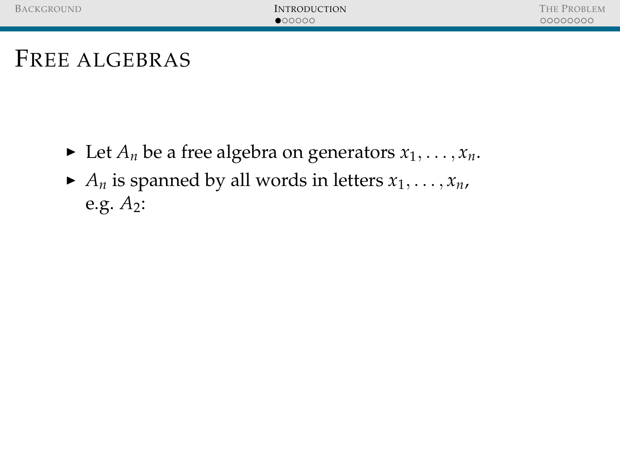- $\blacktriangleright$  Let  $A_n$  be a free algebra on generators  $x_1, \ldots, x_n$ .
- $\blacktriangleright$  *A*<sup>*n*</sup> is spanned by all words in letters  $x_1, \ldots, x_n$ , e.g. *A*2: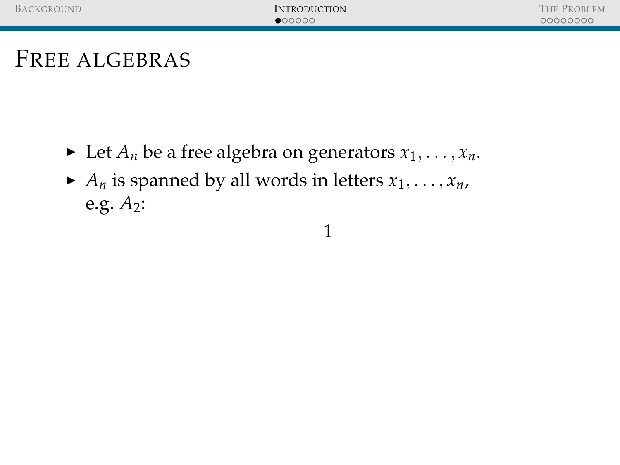- $\blacktriangleright$  Let  $A_n$  be a free algebra on generators  $x_1, \ldots, x_n$ .
- $\blacktriangleright$  *A*<sup>*n*</sup> is spanned by all words in letters  $x_1, \ldots, x_n$ , e.g. *A*2:

1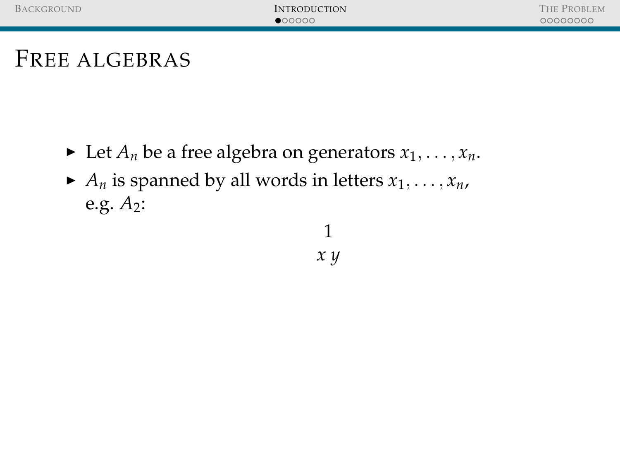- $\blacktriangleright$  Let  $A_n$  be a free algebra on generators  $x_1, \ldots, x_n$ .
- $\blacktriangleright$  *A*<sup>*n*</sup> is spanned by all words in letters  $x_1, \ldots, x_n$ , e.g. *A*2:

1 *x y*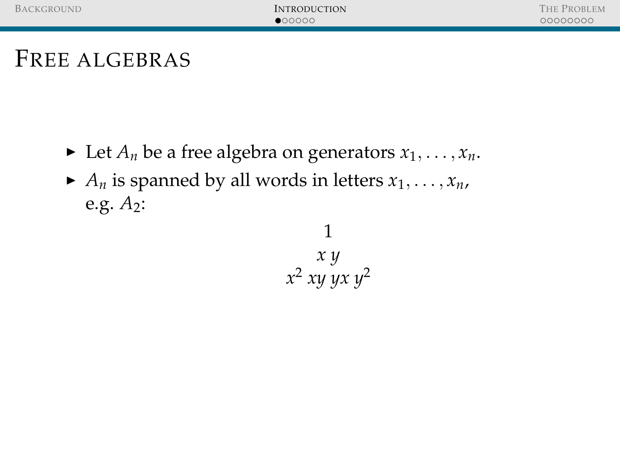- $\blacktriangleright$  Let  $A_n$  be a free algebra on generators  $x_1, \ldots, x_n$ .
- $\blacktriangleright$  *A*<sup>*n*</sup> is spanned by all words in letters  $x_1, \ldots, x_n$ , e.g. *A*2:

1 *x y x* <sup>2</sup> *xy yx y*<sup>2</sup>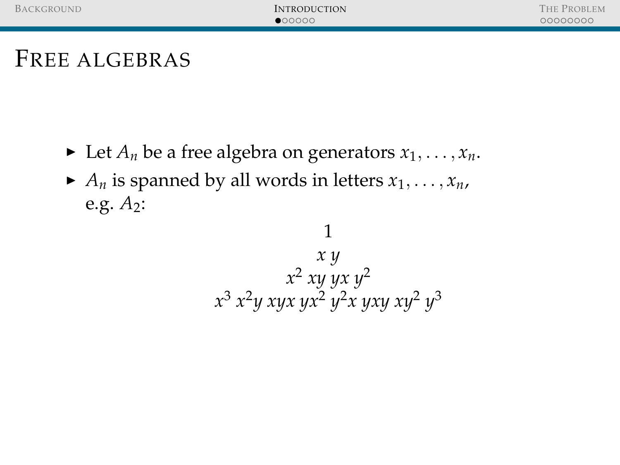- $\blacktriangleright$  Let  $A_n$  be a free algebra on generators  $x_1, \ldots, x_n$ .
- $\blacktriangleright$  *A*<sup>*n*</sup> is spanned by all words in letters  $x_1, \ldots, x_n$ , e.g. *A*2:

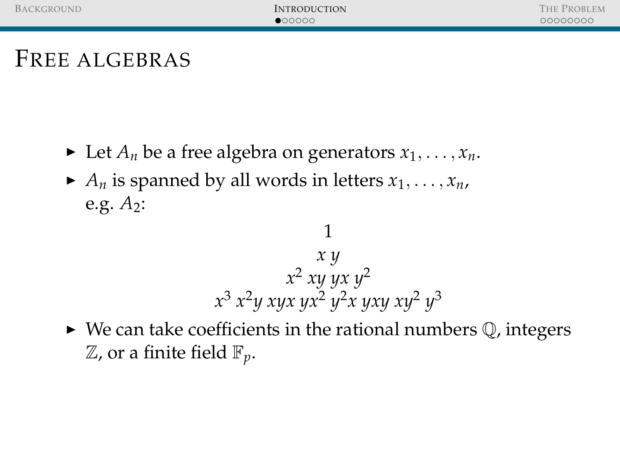- $\blacktriangleright$  Let  $A_n$  be a free algebra on generators  $x_1, \ldots, x_n$ .
- $\blacktriangleright$  *A*<sup>*n*</sup> is spanned by all words in letters  $x_1, \ldots, x_n$ , e.g. *A*2:

### 1 *x y x* <sup>2</sup> *xy yx y*<sup>2</sup> *x* <sup>3</sup> *x* <sup>2</sup>*y xyx yx*<sup>2</sup> *y* <sup>2</sup>*x yxy xy*<sup>2</sup> *y* 3

 $\triangleright$  We can take coefficients in the rational numbers  $\mathbb Q$ , integers Z, or a finite field F*p*.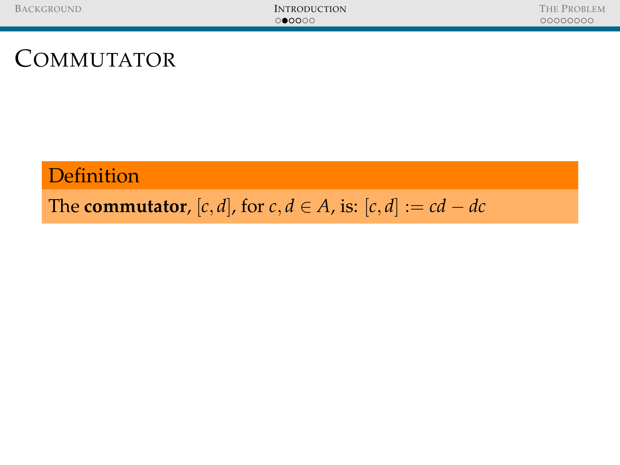### **Definition**

### The **commutator**,  $[c, d]$ , for  $c, d \in A$ , is:  $[c, d] := cd - dc$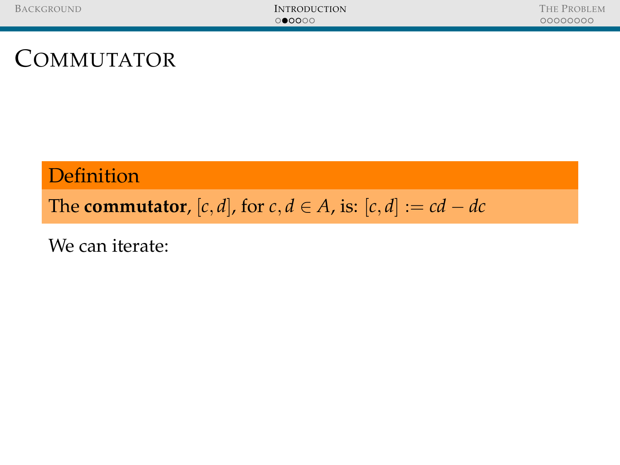### **Definition**

The **commutator**,  $[c, d]$ , for  $c, d \in A$ , is:  $[c, d] := cd - dc$ 

We can iterate: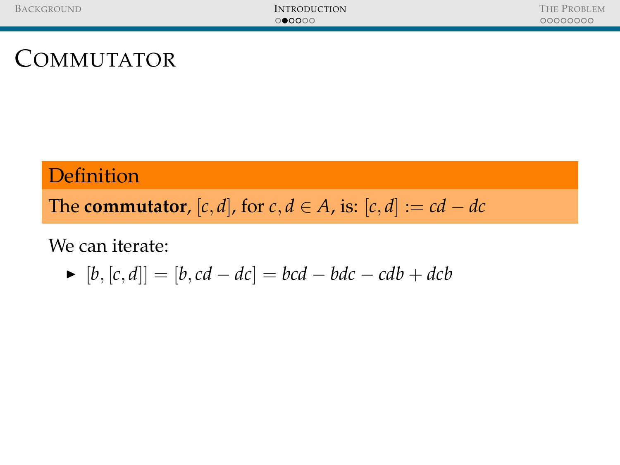### **Definition**

The **commutator**,  $[c, d]$ , for  $c, d \in A$ , is:  $[c, d] := cd - dc$ 

We can iterate:

▶ 
$$
[b, [c, d]] = [b, cd - dc] = bcd - bdc - cdb + dcb
$$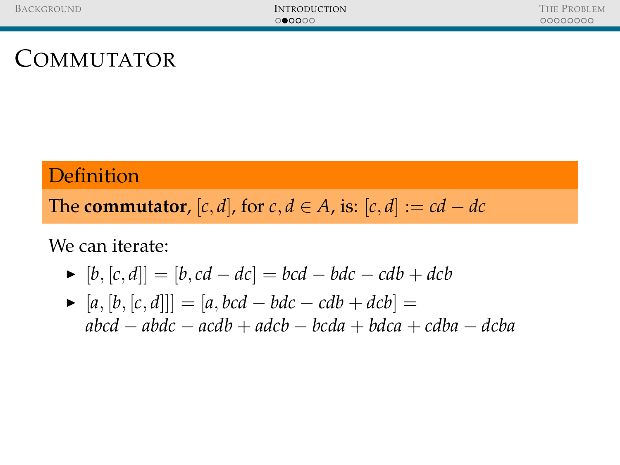#### **Definition**

The **commutator**,  $[c, d]$ , for  $c, d \in A$ , is:  $[c, d] := cd - dc$ 

We can iterate:

- $\blacktriangleright$   $[b, [c, d]] = [b, cd dc] = bcd bdc cdb + dcb$
- $\blacktriangleright$  [a, [b, [c, d]]] = [a, bcd − bdc − cdb + dcb] = *abcd* − *abdc* − *acdb* + *adcb* − *bcda* + *bdca* + *cdba* − *dcba*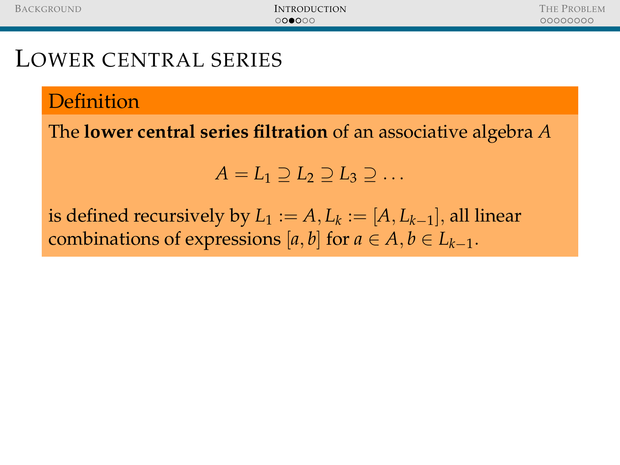#### **Definition**

The **lower central series filtration** of an associative algebra *A*

$$
A=L_1\supseteq L_2\supseteq L_3\supseteq\ldots
$$

is defined recursively by  $L_1 := A, L_k := [A, L_{k-1}],$  all linear combinations of expressions  $[a, b]$  for  $a \in A, b \in L_{k-1}$ .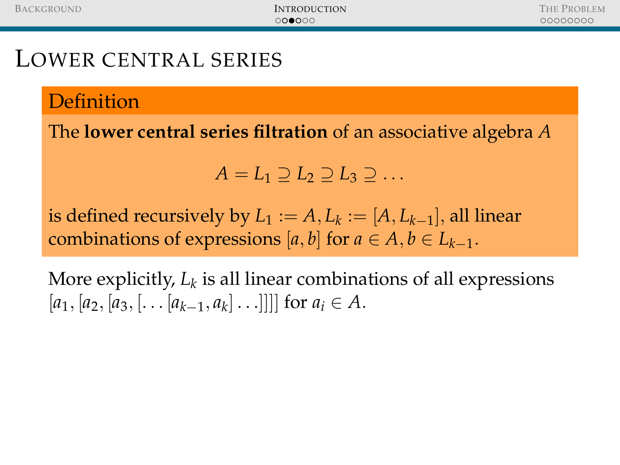Definition

The **lower central series filtration** of an associative algebra *A*

$$
A=L_1\supseteq L_2\supseteq L_3\supseteq\ldots
$$

is defined recursively by  $L_1 := A, L_k := [A, L_{k-1}],$  all linear combinations of expressions  $[a, b]$  for  $a \in A, b \in L_{k-1}$ .

More explicitly,  $L_k$  is all linear combinations of all expressions  $[a_1, [a_2, [a_3, [\ldots [a_{k-1}, a_k] \ldots]]]]$  for  $a_i \in A$ .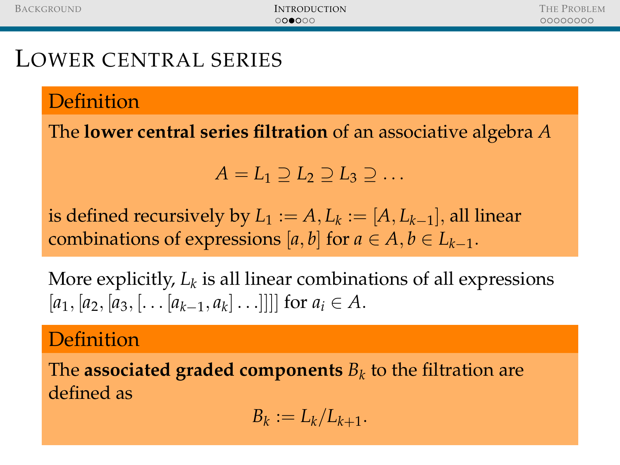Definition

The **lower central series filtration** of an associative algebra *A*

$$
A=L_1\supseteq L_2\supseteq L_3\supseteq\ldots
$$

is defined recursively by  $L_1 := A, L_k := [A, L_{k-1}],$  all linear combinations of expressions  $[a, b]$  for  $a \in A, b \in L_{k-1}$ .

More explicitly,  $L_k$  is all linear combinations of all expressions  $[a_1, [a_2, [a_3, [\ldots [a_{k-1}, a_k] \ldots]]]]$  for  $a_i \in A$ .

#### Definition

The  $\boldsymbol{a}$  associated graded components  $B_k$  to the filtration are defined as

$$
B_k := L_k/L_{k+1}.
$$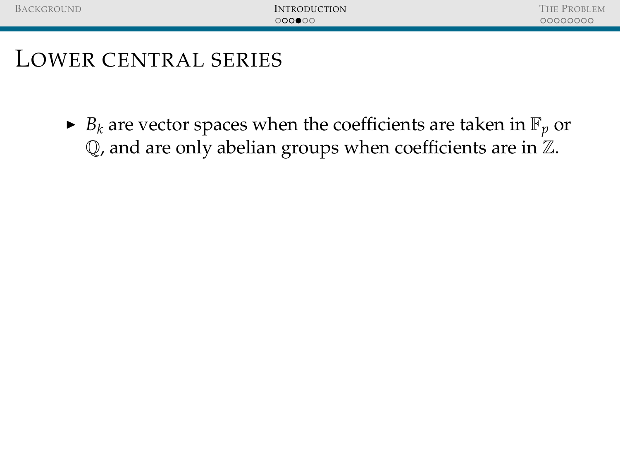$\blacktriangleright$  *B*<sub>*k*</sub> are vector spaces when the coefficients are taken in  $\mathbb{F}_p$  or  $\mathbb Q$ , and are only abelian groups when coefficients are in  $\mathbb Z$ .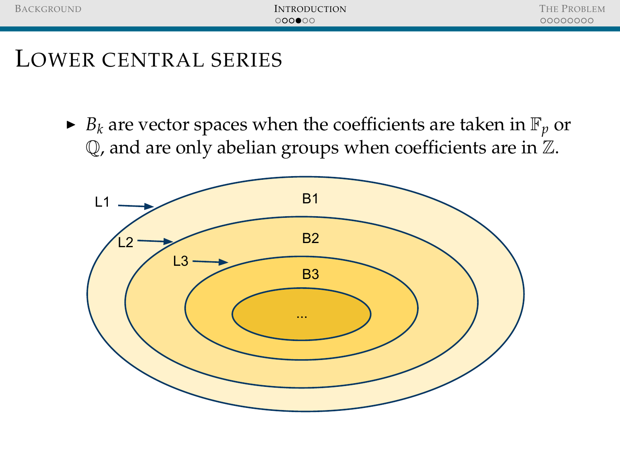$\blacktriangleright$  *B*<sub>*k*</sub> are vector spaces when the coefficients are taken in  $\mathbb{F}_p$  or Q, and are only abelian groups when coefficients are in Z.

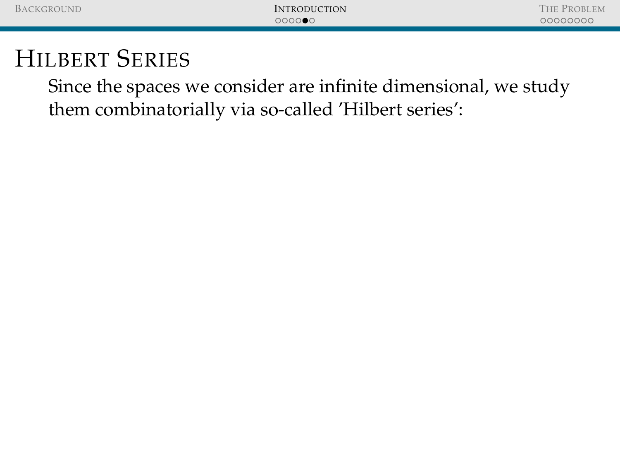Since the spaces we consider are infinite dimensional, we study them combinatorially via so-called 'Hilbert series':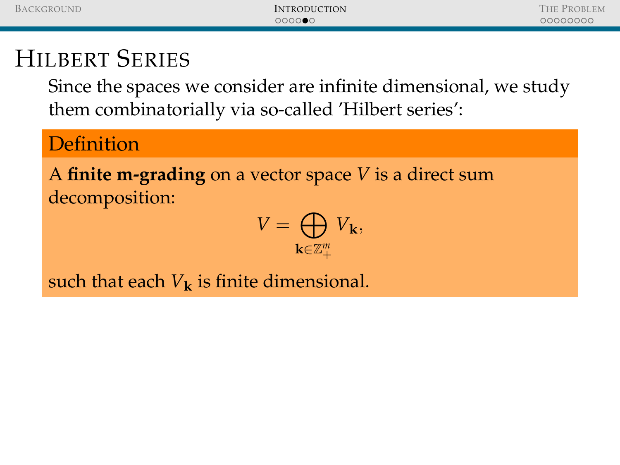Since the spaces we consider are infinite dimensional, we study them combinatorially via so-called 'Hilbert series':

#### **Definition**

A **finite m-grading** on a vector space *V* is a direct sum decomposition:

$$
V=\bigoplus_{\mathbf{k}\in\mathbb{Z}_+^m}V_\mathbf{k},
$$

such that each  $V_k$  is finite dimensional.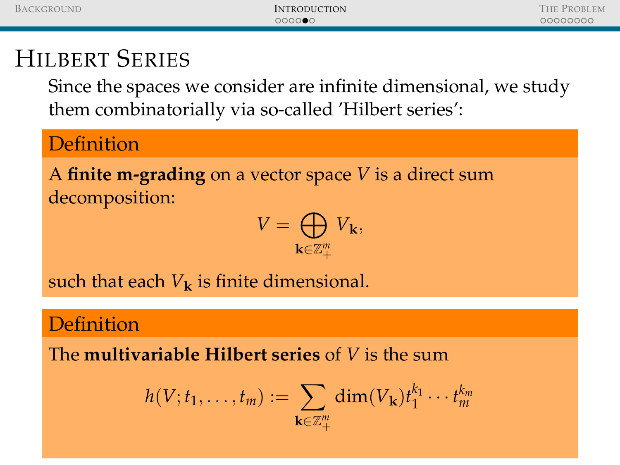Since the spaces we consider are infinite dimensional, we study them combinatorially via so-called 'Hilbert series':

#### **Definition**

A **finite m-grading** on a vector space *V* is a direct sum decomposition:

$$
V = \bigoplus_{\mathbf{k} \in \mathbb{Z}_+^m} V_{\mathbf{k}},
$$

such that each  $V_k$  is finite dimensional.

#### **Definition**

The **multivariable Hilbert series** of *V* is the sum

$$
h(V; t_1,\ldots,t_m):=\sum_{\mathbf{k}\in\mathbb{Z}_+^m}\dim(V_\mathbf{k})t_1^{k_1}\cdots t_m^{k_m}
$$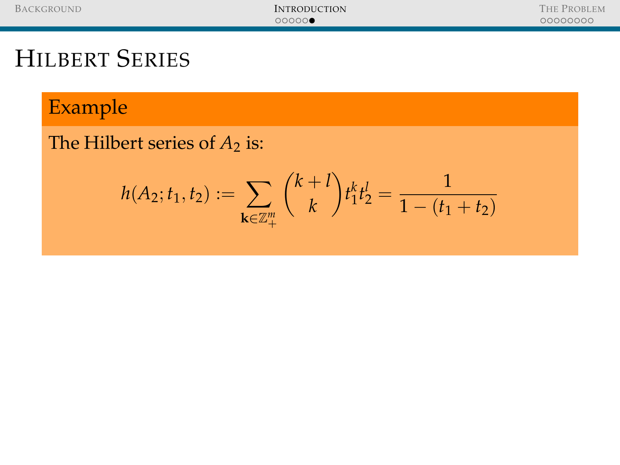### Example

The Hilbert series of  $A_2$  is:

$$
h(A_2; t_1, t_2) := \sum_{\mathbf{k} \in \mathbb{Z}_+^m} {k+l \choose k} t_1^k t_2^l = \frac{1}{1-(t_1+t_2)}
$$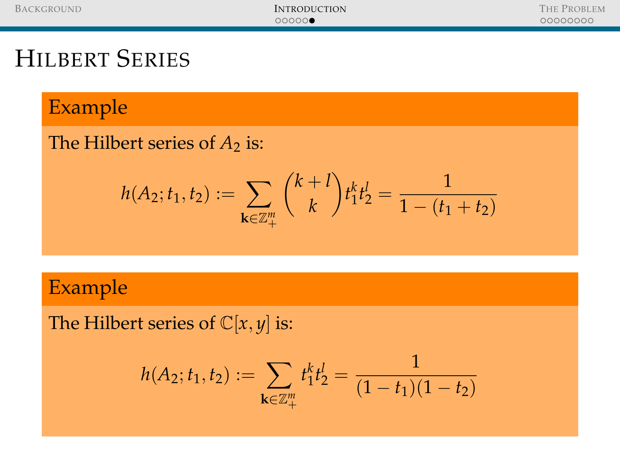#### Example

#### The Hilbert series of  $A_2$  is:

$$
h(A_2; t_1, t_2) := \sum_{\mathbf{k} \in \mathbb{Z}_+^m} {k+l \choose k} t_1^k t_2^l = \frac{1}{1-(t_1+t_2)}
$$

### Example

The Hilbert series of  $\mathbb{C}[x, y]$  is:

$$
h(A_2; t_1, t_2) := \sum_{\mathbf{k} \in \mathbb{Z}_+^m} t_1^k t_2^l = \frac{1}{(1 - t_1)(1 - t_2)}
$$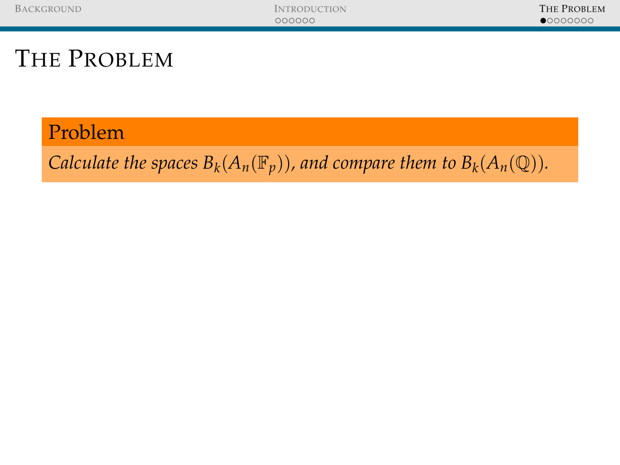#### Problem

<span id="page-36-0"></span>*Calculate the spaces*  $B_k(A_n(\mathbb{F}_p))$ *, and compare them to*  $B_k(A_n(\mathbb{Q}))$ *.*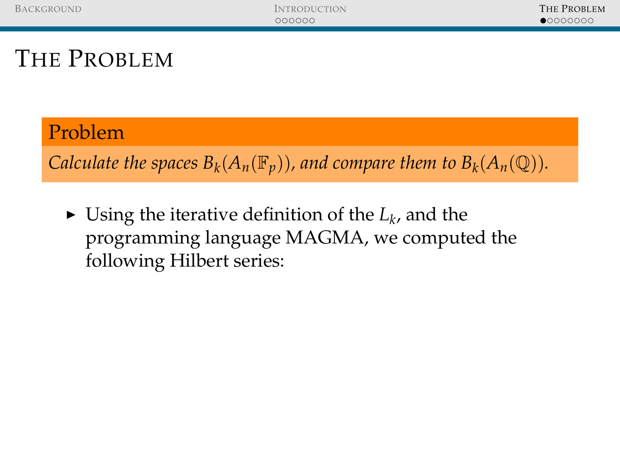#### Problem

*Calculate the spaces*  $B_k(A_n(\mathbb{F}_p))$ *, and compare them to*  $B_k(A_n(\mathbb{Q}))$ *.* 

 $\blacktriangleright$  Using the iterative definition of the  $L_k$ , and the programming language MAGMA, we computed the following Hilbert series: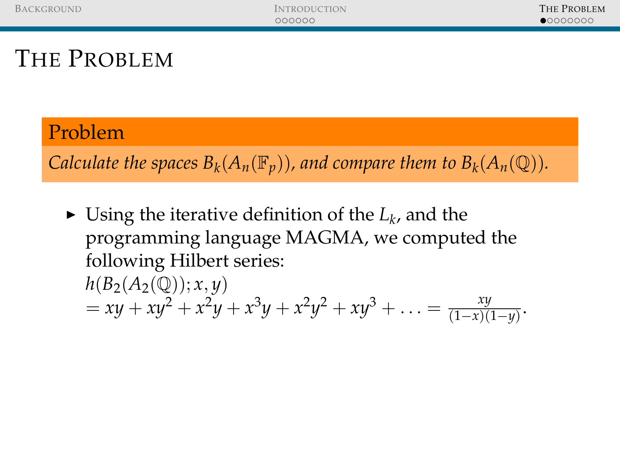### Problem

*Calculate the spaces*  $B_k(A_n(\mathbb{F}_p))$ *, and compare them to*  $B_k(A_n(\mathbb{Q}))$ *.* 

- $\blacktriangleright$  Using the iterative definition of the  $L_k$ , and the programming language MAGMA, we computed the following Hilbert series:
	- $h(B_2(A_2(\mathbb{Q})); x, y)$  $= xy + xy^2 + x^2y + x^3y + x^2y^2 + xy^3 + \ldots = \frac{xy}{(1-x)^2}$  $\frac{xy}{(1-x)(1-y)}$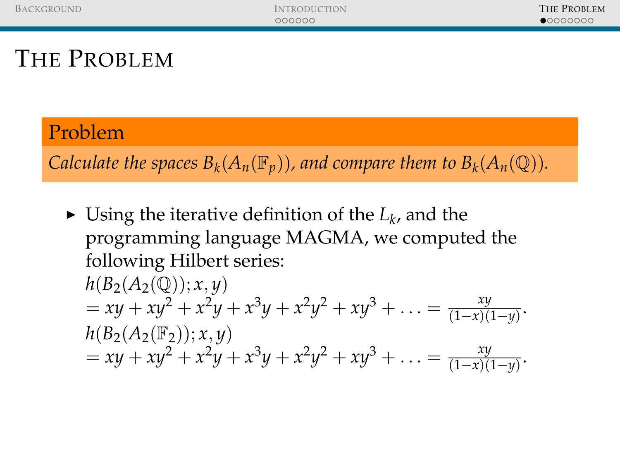### Problem

*Calculate the spaces*  $B_k(A_n(\mathbb{F}_p))$ *, and compare them to*  $B_k(A_n(\mathbb{Q}))$ *.* 

 $\blacktriangleright$  Using the iterative definition of the  $L_k$ , and the programming language MAGMA, we computed the following Hilbert series:

$$
h(B_2(A_2(\mathbb{Q})); x, y)
$$
  
= xy + xy<sup>2</sup> + x<sup>2</sup>y + x<sup>3</sup>y + x<sup>2</sup>y<sup>2</sup> + xy<sup>3</sup> + ... =  $\frac{xy}{(1-x)(1-y)}$ .  

$$
h(B_2(A_2(\mathbb{F}_2)); x, y)
$$
  
= xy + xy<sup>2</sup> + x<sup>2</sup>y + x<sup>3</sup>y + x<sup>2</sup>y<sup>2</sup> + xy<sup>3</sup> + ... =  $\frac{xy}{(1-x)(1-y)}$ .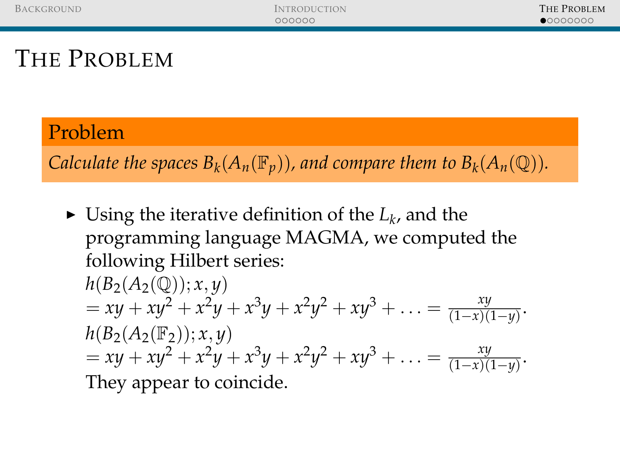### Problem

*Calculate the spaces*  $B_k(A_n(\mathbb{F}_p))$ *, and compare them to*  $B_k(A_n(\mathbb{Q}))$ *.* 

 $\blacktriangleright$  Using the iterative definition of the  $L_k$ , and the programming language MAGMA, we computed the following Hilbert series:

$$
h(B_2(A_2(\mathbb{Q})); x, y)
$$
  
= xy + xy<sup>2</sup> + x<sup>2</sup>y + x<sup>3</sup>y + x<sup>2</sup>y<sup>2</sup> + xy<sup>3</sup> + ... =  $\frac{xy}{(1-x)(1-y)}$ .  
\n
$$
h(B_2(A_2(\mathbb{F}_2)); x, y)
$$
  
= xy + xy<sup>2</sup> + x<sup>2</sup>y + x<sup>3</sup>y + x<sup>2</sup>y<sup>2</sup> + xy<sup>3</sup> + ... =  $\frac{xy}{(1-x)(1-y)}$ .  
\nThey appear to coincide.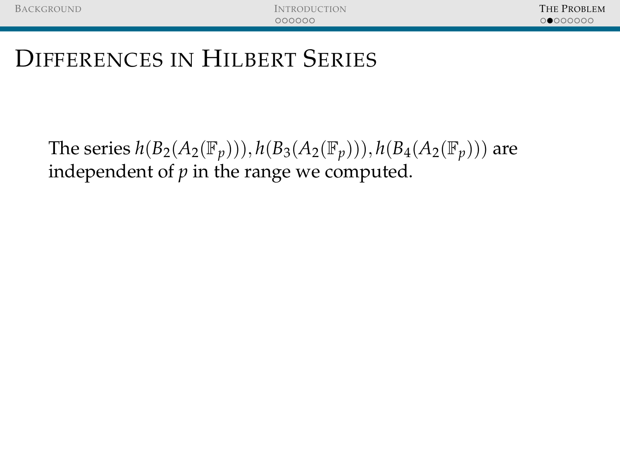The series  $h(B_2(A_2(\mathbb{F}_p)))$ ,  $h(B_3(A_2(\mathbb{F}_p)))$ ,  $h(B_4(A_2(\mathbb{F}_p)))$  are independent of  $p$  in the range we computed.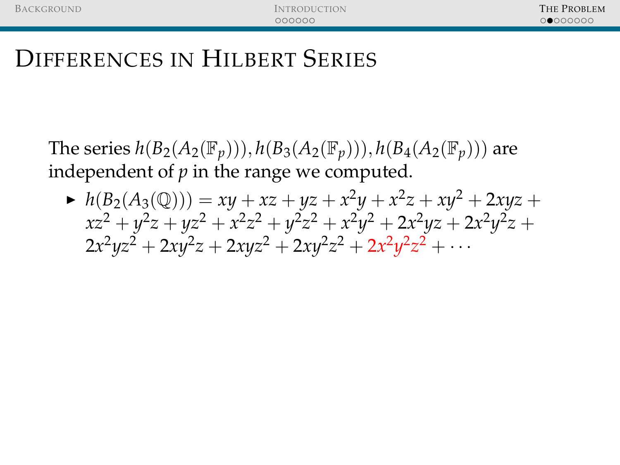The series  $h(B_2(A_2(\mathbb{F}_p)))$ ,  $h(B_3(A_2(\mathbb{F}_p)))$ ,  $h(B_4(A_2(\mathbb{F}_p)))$  are independent of *p* in the range we computed.

 $h(B_2(A_3(\mathbb{Q}))) = xy + xz + yz + x^2y + x^2z + xy^2 + 2xyz +$  $xz^2 + y^2z + yz^2 + x^2z^2 + y^2z^2 + x^2y^2 + 2x^2yz + 2x^2y^2z +$  $2x^2yz^2 + 2xy^2z + 2xyz^2 + 2xy^2z^2 + 2x^2y^2z^2 + \cdots$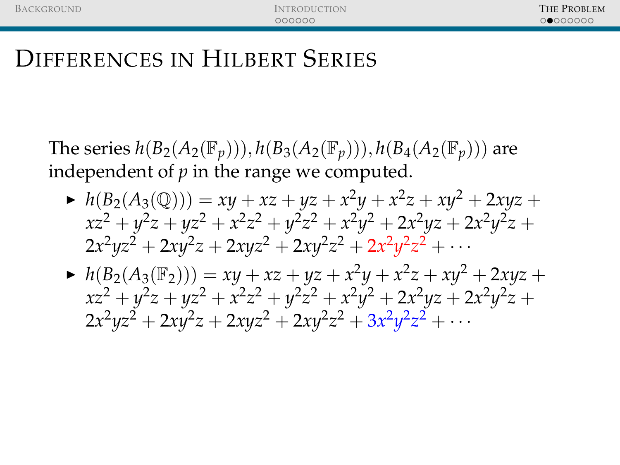The series  $h(B_2(A_2(\mathbb{F}_p)))$ ,  $h(B_3(A_2(\mathbb{F}_p)))$ ,  $h(B_4(A_2(\mathbb{F}_p)))$  are independent of *p* in the range we computed.

- $h(B_2(A_3(\mathbb{Q}))) = xy + xz + yz + x^2y + x^2z + xy^2 + 2xyz +$  $xz^2 + y^2z + yz^2 + x^2z^2 + y^2z^2 + x^2y^2 + 2x^2yz + 2x^2y^2z +$  $2x^2yz^2 + 2xy^2z + 2xyz^2 + 2xy^2z^2 + 2x^2y^2z^2 + \cdots$
- $h(B_2(A_3(\mathbb{F}_2))) = xy + xz + yz + x^2y + x^2z + xy^2 + 2xyz +$  $xz^2 + y^2z + yz^2 + x^2z^2 + y^2z^2 + x^2y^2 + 2x^2yz + 2x^2y^2z +$  $2x^2yz^2 + 2xy^2z + 2xyz^2 + 2xy^2z^2 + 3x^2y^2z^2 + \cdots$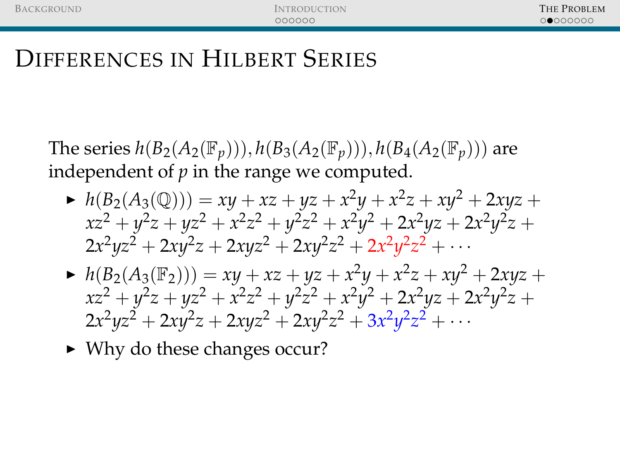The series  $h(B_2(A_2(\mathbb{F}_p)))$ ,  $h(B_3(A_2(\mathbb{F}_p)))$ ,  $h(B_4(A_2(\mathbb{F}_p)))$  are independent of *p* in the range we computed.

- $h(B_2(A_3(\mathbb{Q}))) = xy + xz + yz + x^2y + x^2z + xy^2 + 2xyz +$  $xz^2 + y^2z + yz^2 + x^2z^2 + y^2z^2 + x^2y^2 + 2x^2yz + 2x^2y^2z +$  $2x^2yz^2 + 2xy^2z + 2xyz^2 + 2xy^2z^2 + 2x^2y^2z^2 + \cdots$
- $h(B_2(A_3(\mathbb{F}_2))) = xy + xz + yz + x^2y + x^2z + xy^2 + 2xyz +$  $xz^2 + y^2z + yz^2 + x^2z^2 + y^2z^2 + x^2y^2 + 2x^2yz + 2x^2y^2z +$  $2x^2yz^2 + 2xy^2z + 2xyz^2 + 2xy^2z^2 + 3x^2y^2z^2 + \cdots$
- $\triangleright$  Why do these changes occur?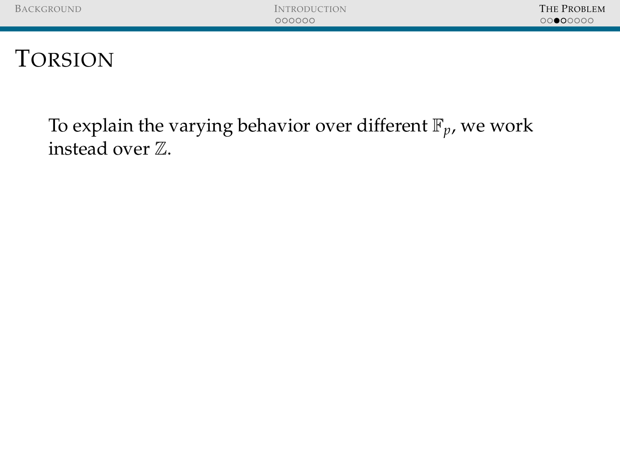### To explain the varying behavior over different  $\mathbb{F}_p$ , we work instead over Z.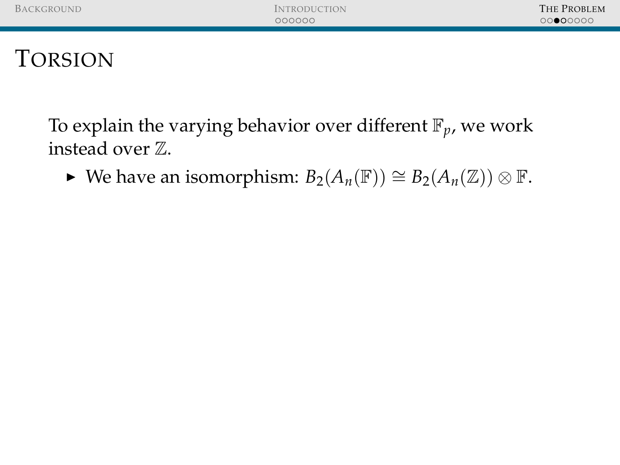To explain the varying behavior over different  $\mathbb{F}_p$ , we work instead over Z.

 $\blacktriangleright$  We have an isomorphism:  $B_2(A_n(\mathbb{F})) \cong B_2(A_n(\mathbb{Z})) \otimes \mathbb{F}$ .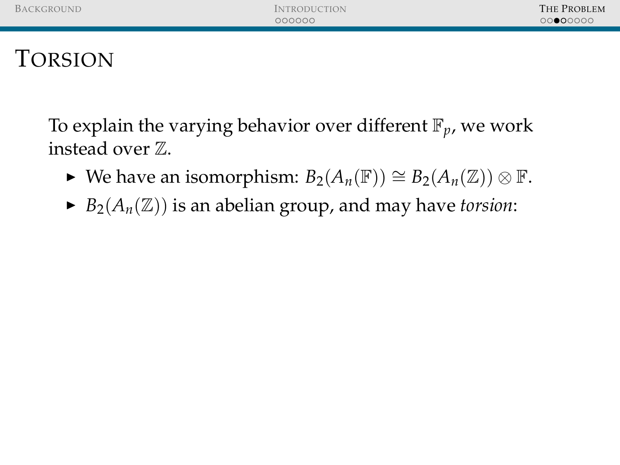To explain the varying behavior over different  $\mathbb{F}_p$ , we work instead over Z.

- $\blacktriangleright$  We have an isomorphism:  $B_2(A_n(\mathbb{F})) \cong B_2(A_n(\mathbb{Z})) \otimes \mathbb{F}$ .
- $\blacktriangleright$  *B*<sub>2</sub>(*A<sub>n</sub>*( $\mathbb{Z}$ )) is an abelian group, and may have *torsion*: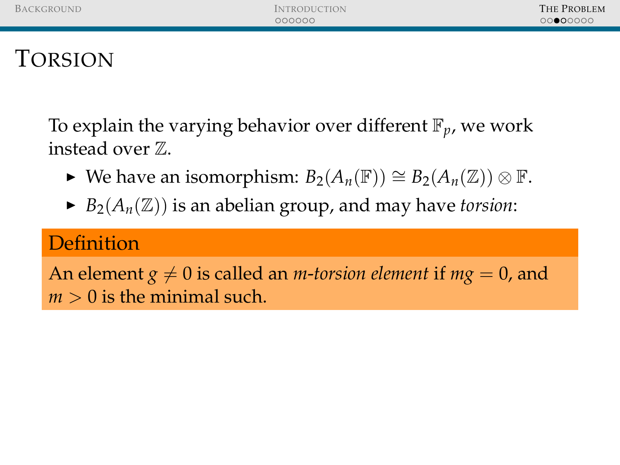To explain the varying behavior over different  $\mathbb{F}_p$ , we work instead over Z.

- $\blacktriangleright$  We have an isomorphism:  $B_2(A_n(\mathbb{F})) \cong B_2(A_n(\mathbb{Z})) \otimes \mathbb{F}$ .
- $\blacktriangleright$  *B*<sub>2</sub>( $A_n(\mathbb{Z})$ ) is an abelian group, and may have *torsion*:

### **Definition**

An element  $g \neq 0$  is called an *m*-*torsion element* if  $mg = 0$ , and  $m > 0$  is the minimal such.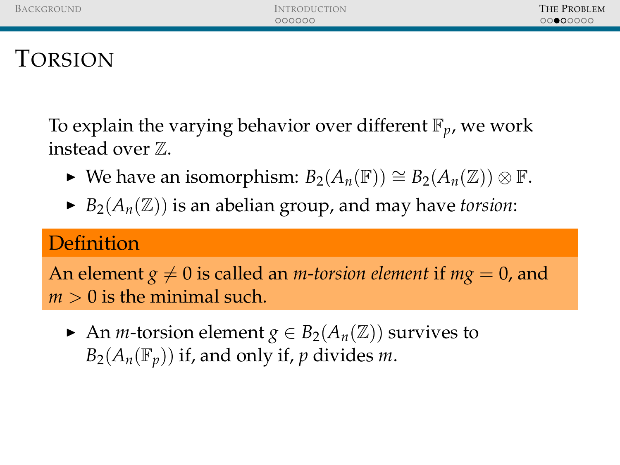To explain the varying behavior over different F*p*, we work instead over Z.

- $\blacktriangleright$  We have an isomorphism:  $B_2(A_n(\mathbb{F})) \cong B_2(A_n(\mathbb{Z})) \otimes \mathbb{F}$ .
- $\blacktriangleright$  *B*<sub>2</sub>( $A_n(\mathbb{Z})$ ) is an abelian group, and may have *torsion*:

### **Definition**

An element  $g \neq 0$  is called an *m*-*torsion element* if  $mg = 0$ , and  $m > 0$  is the minimal such.

An *m*-torsion element  $g \in B_2(A_n(\mathbb{Z}))$  survives to  $B_2(A_n(\mathbb{F}_p))$  if, and only if, *p* divides *m*.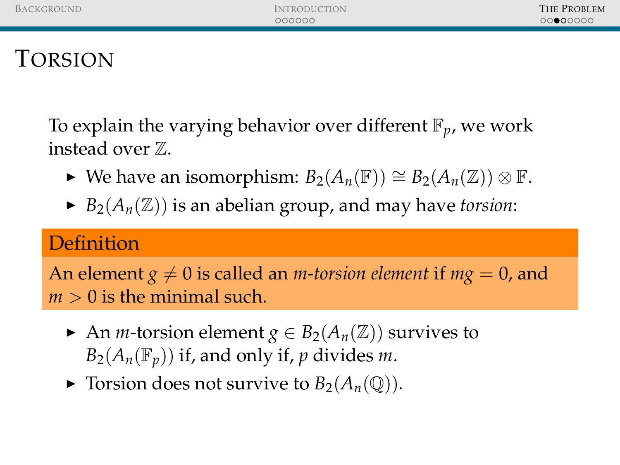To explain the varying behavior over different F*p*, we work instead over Z.

- $\blacktriangleright$  We have an isomorphism:  $B_2(A_n(\mathbb{F})) \cong B_2(A_n(\mathbb{Z})) \otimes \mathbb{F}$ .
- $\blacktriangleright$  *B*<sub>2</sub>( $A_n(\mathbb{Z})$ ) is an abelian group, and may have *torsion*:

### **Definition**

An element  $g \neq 0$  is called an *m*-*torsion element* if  $mg = 0$ , and  $m > 0$  is the minimal such.

- An *m*-torsion element  $g \in B_2(A_n(\mathbb{Z}))$  survives to  $B_2(A_n(\mathbb{F}_p))$  if, and only if, *p* divides *m*.
- $\blacktriangleright$  Torsion does not survive to  $B_2(A_n(\mathbb{Q}))$ .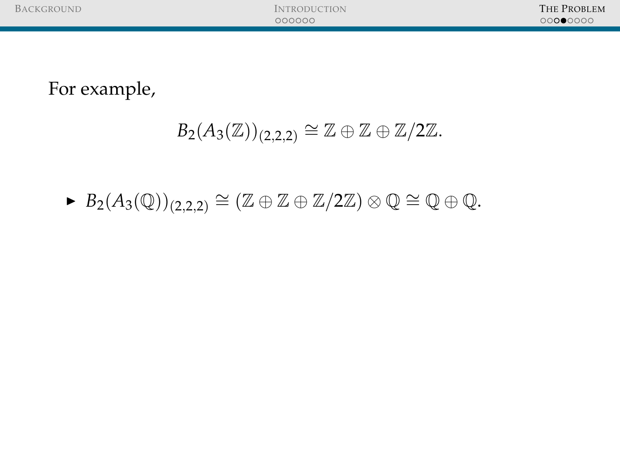# $B_2(A_3(\mathbb{Z}))_{(2,2,2)} \cong \mathbb{Z} \oplus \mathbb{Z} \oplus \mathbb{Z}/2\mathbb{Z}.$

# ►  $B_2(A_3(\mathbb{Q}))_{(2,2,2)} \cong (\mathbb{Z} \oplus \mathbb{Z} \oplus \mathbb{Z}/2\mathbb{Z}) \otimes \mathbb{Q} \cong \mathbb{Q} \oplus \mathbb{Q}.$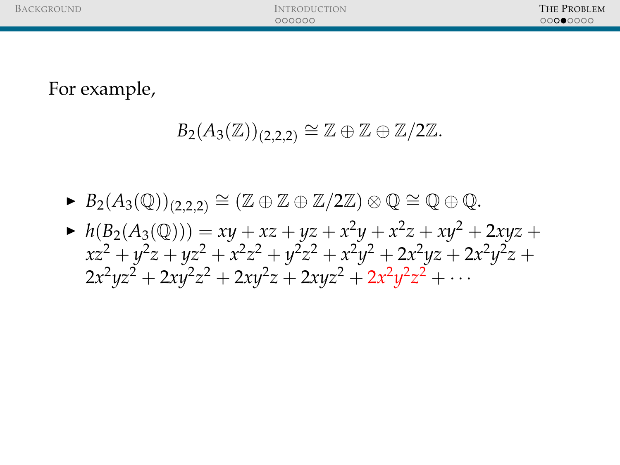- ►  $B_2(A_3(\mathbb{Q}))_{(2,2,2)} \cong (\mathbb{Z} \oplus \mathbb{Z} \oplus \mathbb{Z}/2\mathbb{Z}) \otimes \mathbb{Q} \cong \mathbb{Q} \oplus \mathbb{Q}.$
- $h(B_2(A_3(\mathbb{Q}))) = xy + xz + yz + x^2y + x^2z + xy^2 + 2xyz +$  $xz^2 + y^2z + yz^2 + x^2z^2 + y^2z^2 + x^2y^2 + 2x^2yz + 2x^2y^2z +$  $2x^2yz^2 + 2xy^2z^2 + 2xy^2z + 2xyz^2 + 2x^2y^2z^2 + \cdots$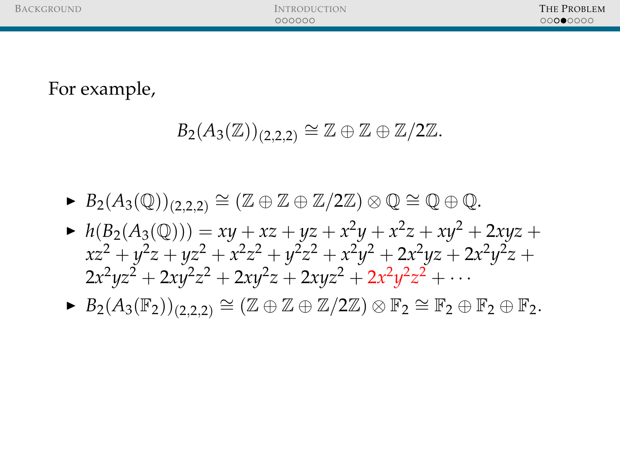- ►  $B_2(A_3(\mathbb{Q}))_{(2,2,2)} \cong (\mathbb{Z} \oplus \mathbb{Z} \oplus \mathbb{Z}/2\mathbb{Z}) \otimes \mathbb{Q} \cong \mathbb{Q} \oplus \mathbb{Q}.$
- $h(B_2(A_3(\mathbb{Q}))) = xy + xz + yz + x^2y + x^2z + xy^2 + 2xyz +$  $xz^2 + y^2z + yz^2 + x^2z^2 + y^2z^2 + x^2y^2 + 2x^2yz + 2x^2y^2z +$  $2x^2yz^2 + 2xy^2z^2 + 2xy^2z + 2xyz^2 + 2x^2y^2z^2 + \cdots$
- $\blacktriangleright$   $B_2(A_3(\mathbb{F}_2))_{(2,2,2)} \cong (\mathbb{Z} \oplus \mathbb{Z} \oplus \mathbb{Z}/2\mathbb{Z}) \otimes \mathbb{F}_2 \cong \mathbb{F}_2 \oplus \mathbb{F}_2 \oplus \mathbb{F}_2.$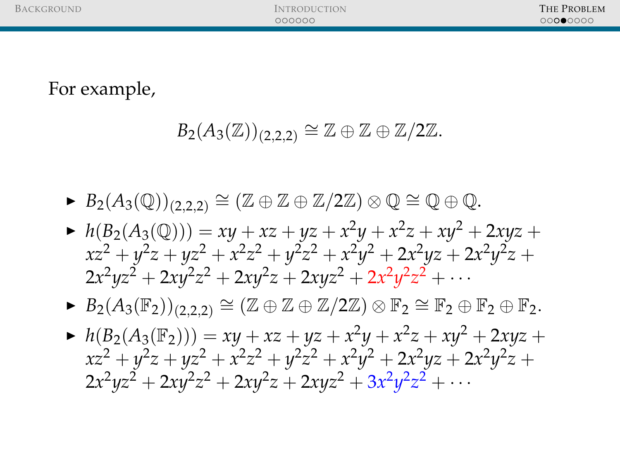- ►  $B_2(A_3(\mathbb{Q}))_{(2,2,2)} \cong (\mathbb{Z} \oplus \mathbb{Z} \oplus \mathbb{Z}/2\mathbb{Z}) \otimes \mathbb{Q} \cong \mathbb{Q} \oplus \mathbb{Q}.$
- $h(B_2(A_3(\mathbb{Q}))) = xy + xz + yz + x^2y + x^2z + xy^2 + 2xyz +$  $xz^2 + y^2z + yz^2 + x^2z^2 + y^2z^2 + x^2y^2 + 2x^2yz + 2x^2y^2z +$  $2x^2yz^2 + 2xy^2z^2 + 2xy^2z + 2xyz^2 + 2x^2y^2z^2 + \cdots$
- $\blacktriangleright$   $B_2(A_3(\mathbb{F}_2))_{(2,2,2)} \cong (\mathbb{Z} \oplus \mathbb{Z} \oplus \mathbb{Z}/2\mathbb{Z}) \otimes \mathbb{F}_2 \cong \mathbb{F}_2 \oplus \mathbb{F}_2 \oplus \mathbb{F}_2.$
- $h(B_2(A_3(\mathbb{F}_2))) = xy + xz + yz + x^2y + x^2z + xy^2 + 2xyz +$  $xz^2 + y^2z + yz^2 + x^2z^2 + y^2z^2 + x^2y^2 + 2x^2yz + 2x^2y^2z +$  $2x^2yz^2 + 2xy^2z^2 + 2xy^2z + 2xyz^2 + 3x^2y^2z^2 + \cdots$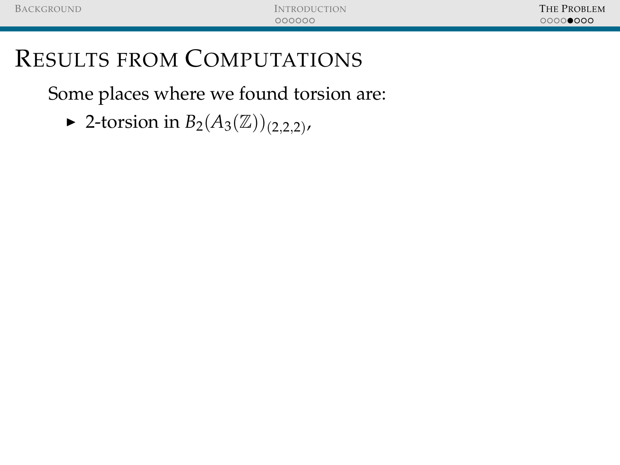Some places where we found torsion are:

▶ 2-torsion in *B*<sub>2</sub>(*A*<sub>3</sub>( $\mathbb{Z}$ ))<sub>(2,2,2)</sub>,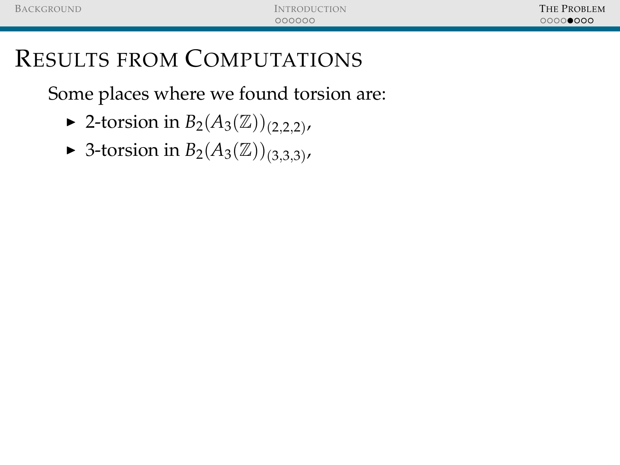- ▶ 2-torsion in *B*<sub>2</sub>(*A*<sub>3</sub>( $\mathbb{Z}$ ))<sub>(2,2,2)</sub>,
- ► 3-torsion in  $B_2(A_3(\mathbb{Z}))_{(3,3,3)}$ ,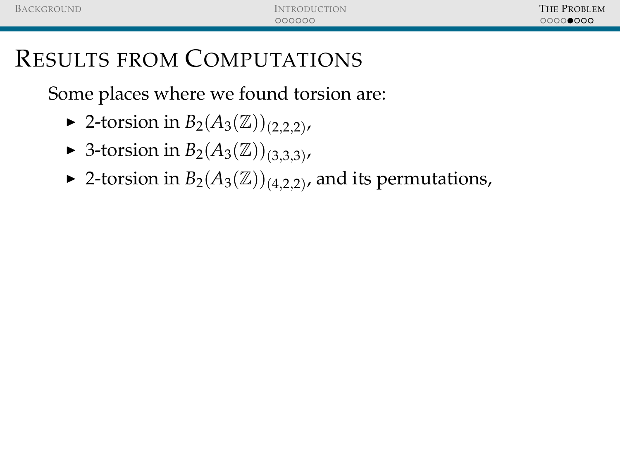- ▶ 2-torsion in *B*<sub>2</sub>(*A*<sub>3</sub>( $\mathbb{Z}$ ))<sub>(2,2,2)</sub>,
- ► 3-torsion in  $B_2(A_3(\mathbb{Z}))_{(3,3,3)}$ ,
- ▶ 2-torsion in  $B_2(A_3(\mathbb{Z}))_{(4,2,2)}$ , and its permutations,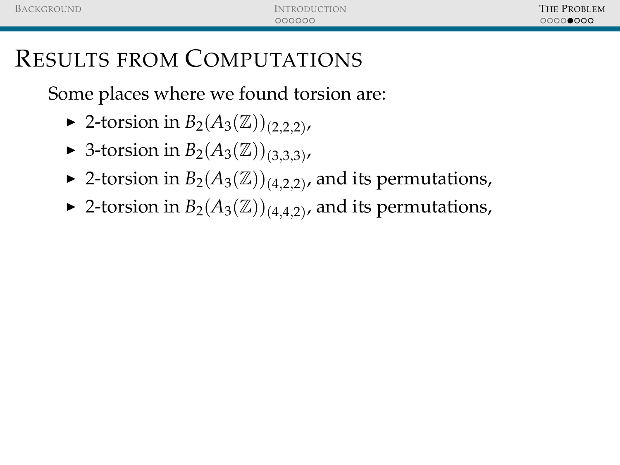- ▶ 2-torsion in *B*<sub>2</sub>(*A*<sub>3</sub>( $\mathbb{Z}$ ))<sub>(2,2,2)</sub>,
- ► 3-torsion in  $B_2(A_3(\mathbb{Z}))_{(3,3,3)}$ ,
- ▶ 2-torsion in  $B_2(A_3(\mathbb{Z}))_{(4,2,2)}$ , and its permutations,
- ▶ 2-torsion in  $B_2(A_3(\mathbb{Z}))_{(4,4,2)}$ , and its permutations,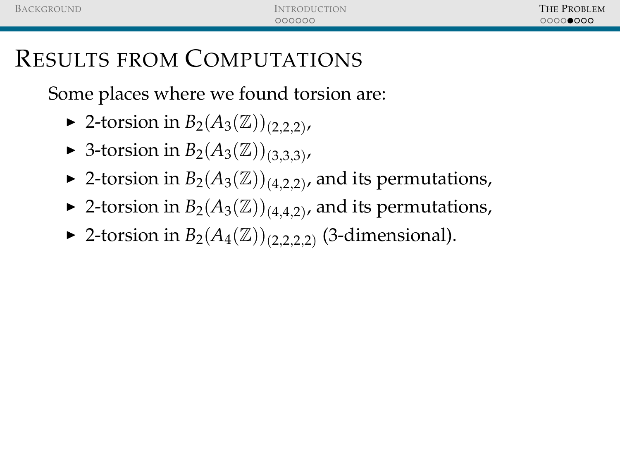- ▶ 2-torsion in *B*<sub>2</sub>(*A*<sub>3</sub>( $\mathbb{Z}$ ))<sub>(2,2,2)</sub>,
- ► 3-torsion in  $B_2(A_3(\mathbb{Z}))_{(3,3,3)}$ ,
- ▶ 2-torsion in  $B_2(A_3(\mathbb{Z}))_{(4,2,2)}$ , and its permutations,
- ▶ 2-torsion in  $B_2(A_3(\mathbb{Z}))_{(4,4,2)}$ , and its permutations,
- ► 2-torsion in  $B_2(A_4(\mathbb{Z}))_{(2,2,2,2)}$  (3-dimensional).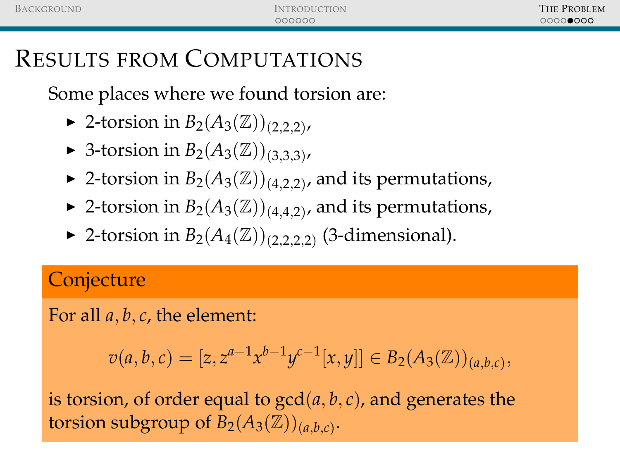Some places where we found torsion are:

- ▶ 2-torsion in *B*<sub>2</sub>(*A*<sub>3</sub>( $\mathbb{Z}$ ))<sub>(2,2,2)</sub>,
- ► 3-torsion in  $B_2(A_3(\mathbb{Z}))_{(3,3,3)}$ ,
- ▶ 2-torsion in  $B_2(A_3(\mathbb{Z}))_{(4,2,2)}$ , and its permutations,
- ▶ 2-torsion in  $B_2(A_3(\mathbb{Z}))_{(4,4,2)}$ , and its permutations,
- ► 2-torsion in  $B_2(A_4(\mathbb{Z}))_{(2,2,2,2)}$  (3-dimensional).

### **Conjecture**

For all *a*, *b*, *c*, the element:

$$
v(a, b, c) = [z, z^{a-1}x^{b-1}y^{c-1}[x, y]] \in B_2(A_3(\mathbb{Z}))_{(a, b, c)},
$$

is torsion, of order equal to  $gcd(a, b, c)$ , and generates the torsion subgroup of  $\overline{B_2(A_3(\mathbb{Z}))_{(a,b,c)}}$ .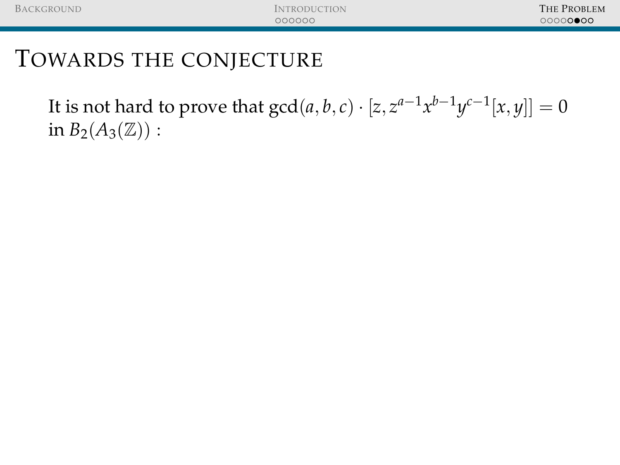It is not hard to prove that  $\gcd(a,b,c)\cdot[z,z^{a-1}x^{b-1}y^{c-1}[x,y]]=0$ in  $B_2(A_3(\mathbb{Z}))$  :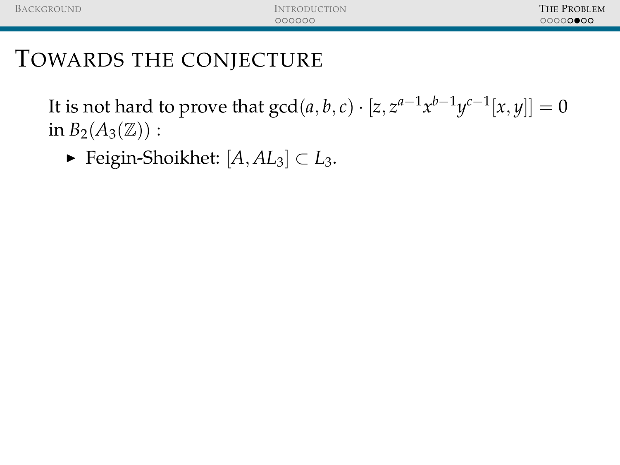It is not hard to prove that  $\gcd(a,b,c)\cdot[z,z^{a-1}x^{b-1}y^{c-1}[x,y]]=0$ in  $B_2(A_3(\mathbb{Z}))$  :

<sup>I</sup> Feigin-Shoikhet: [*A*, *AL*3] ⊂ *L*3.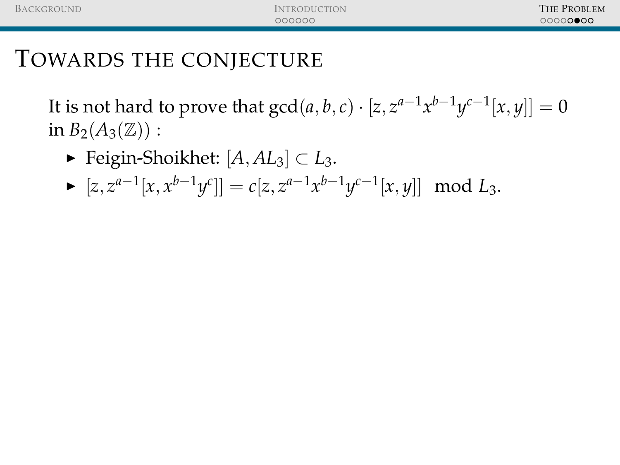It is not hard to prove that  $\gcd(a,b,c)\cdot[z,z^{a-1}x^{b-1}y^{c-1}[x,y]]=0$ in  $B_2(A_3(\mathbb{Z}))$  :

- <sup>I</sup> Feigin-Shoikhet: [*A*, *AL*3] ⊂ *L*3.
- ►  $[z, z^{a-1}[x, x^{b-1}y^c]] = c[z, z^{a-1}x^{b-1}y^{c-1}[x, y]] \mod L_3.$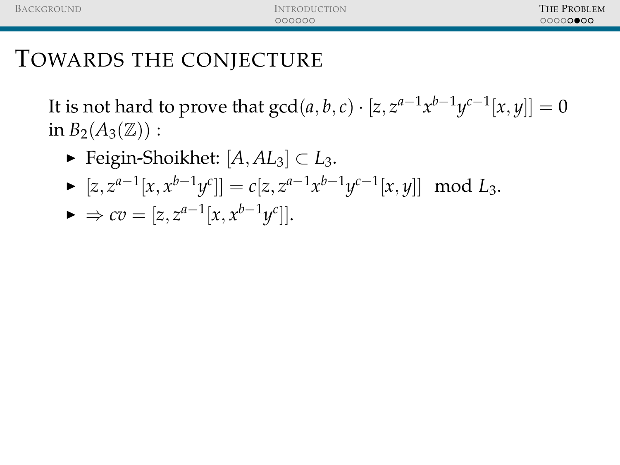It is not hard to prove that  $\gcd(a,b,c)\cdot[z,z^{a-1}x^{b-1}y^{c-1}[x,y]]=0$ in  $B_2(A_3(\mathbb{Z}))$  :

- <sup>I</sup> Feigin-Shoikhet: [*A*, *AL*3] ⊂ *L*3.
- ►  $[z, z^{a-1}[x, x^{b-1}y^c]] = c[z, z^{a-1}x^{b-1}y^{c-1}[x, y]] \mod L_3.$
- ►  $\Rightarrow cv = [z, z^{a-1}[x, x^{b-1}y^c]].$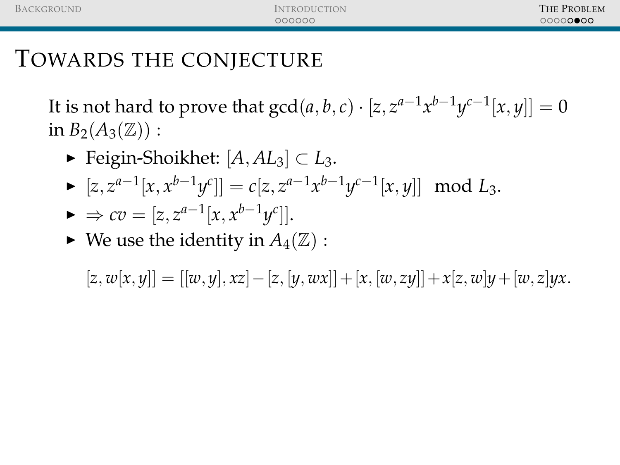It is not hard to prove that  $\gcd(a,b,c)\cdot[z,z^{a-1}x^{b-1}y^{c-1}[x,y]]=0$ in  $B_2(A_3(\mathbb{Z}))$ :

- <sup>I</sup> Feigin-Shoikhet: [*A*, *AL*3] ⊂ *L*3.
- ►  $[z, z^{a-1}[x, x^{b-1}y^c]] = c[z, z^{a-1}x^{b-1}y^{c-1}[x, y]] \mod L_3.$
- ►  $\Rightarrow cv = [z, z^{a-1}[x, x^{b-1}y^c]].$
- $\blacktriangleright$  We use the identity in  $A_4(\mathbb{Z})$ :

 $[x, w[x, y]] = [[w, y], xz] - [z, [y, wx]] + [x, [w, zy]] + x[z, w]y + [w, z]yx.$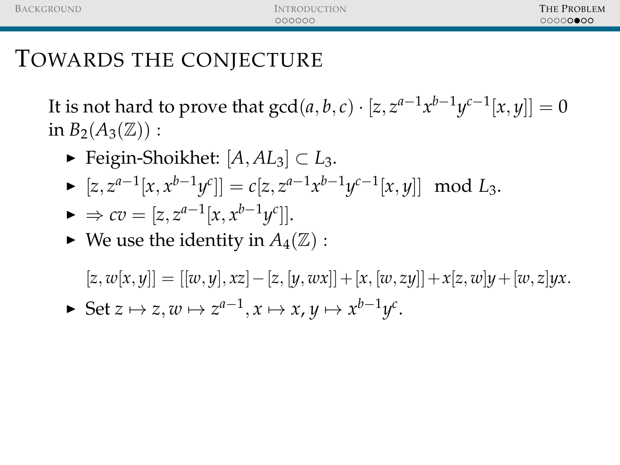It is not hard to prove that  $\gcd(a,b,c)\cdot[z,z^{a-1}x^{b-1}y^{c-1}[x,y]]=0$ in  $B_2(A_3(\mathbb{Z}))$ :

- <sup>I</sup> Feigin-Shoikhet: [*A*, *AL*3] ⊂ *L*3.
- ►  $[z, z^{a-1}[x, x^{b-1}y^c]] = c[z, z^{a-1}x^{b-1}y^{c-1}[x, y]] \mod L_3.$
- ►  $\Rightarrow cv = [z, z^{a-1}[x, x^{b-1}y^c]].$
- $\blacktriangleright$  We use the identity in  $A_4(\mathbb{Z})$ :

 $[x, w[x, y]] = [[w, y], xz] - [z, [y, wx]] + [x, [w, zy]] + x[z, w]y + [w, z]yx.$ 

► Set  $z \mapsto z, w \mapsto z^{a-1}, x \mapsto x, y \mapsto x^{b-1}y^c$ .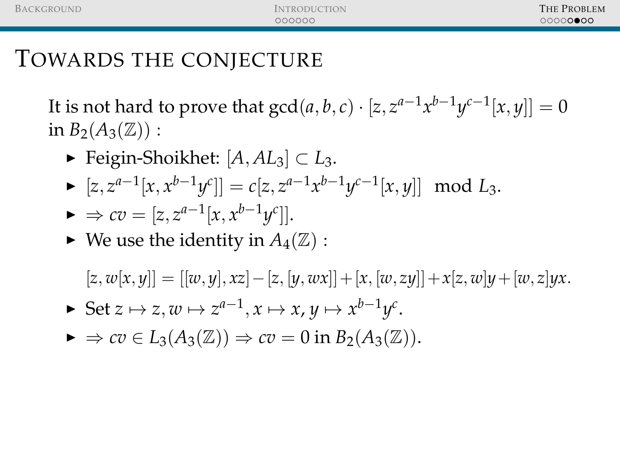It is not hard to prove that  $\gcd(a,b,c)\cdot[z,z^{a-1}x^{b-1}y^{c-1}[x,y]]=0$ in  $B_2(A_3(\mathbb{Z}))$ :

- <sup>I</sup> Feigin-Shoikhet: [*A*, *AL*3] ⊂ *L*3.
- ►  $[z, z^{a-1}[x, x^{b-1}y^c]] = c[z, z^{a-1}x^{b-1}y^{c-1}[x, y]] \mod L_3.$

$$
\blacktriangleright \Rightarrow cv = [z, z^{a-1}[x, x^{b-1}y^c]].
$$

 $\blacktriangleright$  We use the identity in  $A_4(\mathbb{Z})$ :

 $[x, w[x, y]] = [[w, y], xz] - [z, [y, wx]] + [x, [w, zy]] + x[z, w]y + [w, z]yx$ .

- ► Set  $z \mapsto z, w \mapsto z^{a-1}, x \mapsto x, y \mapsto x^{b-1}y^c$ .
- $\triangleright \Rightarrow cv \in L_3(A_3(\mathbb{Z})) \Rightarrow cv = 0$  in  $B_2(A_3(\mathbb{Z}))$ .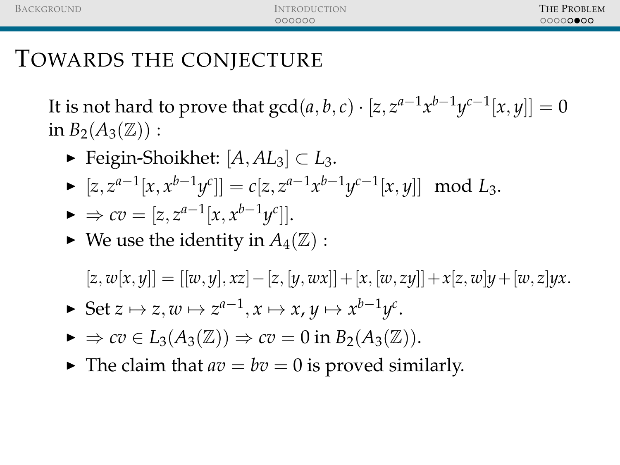It is not hard to prove that  $\gcd(a,b,c)\cdot[z,z^{a-1}x^{b-1}y^{c-1}[x,y]]=0$ in  $B_2(A_3(\mathbb{Z}))$  :

- <sup>I</sup> Feigin-Shoikhet: [*A*, *AL*3] ⊂ *L*3.
- ►  $[z, z^{a-1}[x, x^{b-1}y^c]] = c[z, z^{a-1}x^{b-1}y^{c-1}[x, y]] \mod L_3.$

$$
\blacktriangleright \Rightarrow cv = [z, z^{a-1}[x, x^{b-1}y^c]].
$$

 $\blacktriangleright$  We use the identity in  $A_4(\mathbb{Z})$ :

 $[x, w[x, y]] = [[w, y], xz] - [z, [y, wx]] + [x, [w, zy]] + x[z, w]y + [w, z]yx$ .

- ► Set  $z \mapsto z, w \mapsto z^{a-1}, x \mapsto x, y \mapsto x^{b-1}y^c$ .
- $\triangleright \Rightarrow cv \in L_3(A_3(\mathbb{Z})) \Rightarrow cv = 0$  in  $B_2(A_3(\mathbb{Z}))$ .
- $\blacktriangleright$  The claim that  $av = bv = 0$  is proved similarly.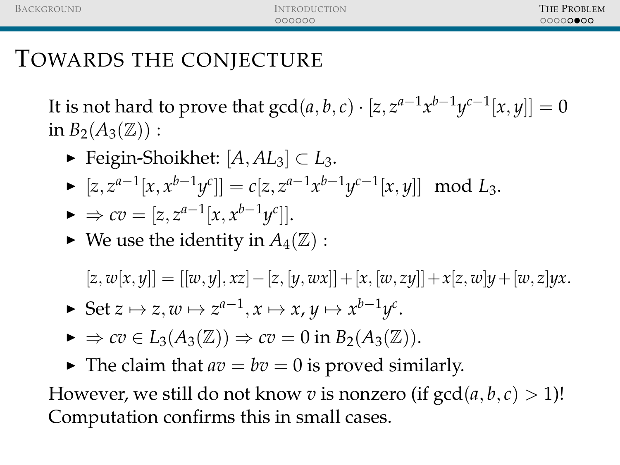It is not hard to prove that  $\gcd(a,b,c)\cdot[z,z^{a-1}x^{b-1}y^{c-1}[x,y]]=0$ in  $B_2(A_3(\mathbb{Z}))$ :

- <sup>I</sup> Feigin-Shoikhet: [*A*, *AL*3] ⊂ *L*3.
- ►  $[z, z^{a-1}[x, x^{b-1}y^c]] = c[z, z^{a-1}x^{b-1}y^{c-1}[x, y]] \mod L_3.$

$$
\blacktriangleright \Rightarrow cv = [z, z^{a-1}[x, x^{b-1}y^c]].
$$

 $\blacktriangleright$  We use the identity in  $A_4(\mathbb{Z})$ :

 $[x, w[x, y]] = [[w, y], xz] - [z, [y, wx]] + [x, [w, zy]] + x[z, w]y + [w, z]yx$ .

- ► Set  $z \mapsto z, w \mapsto z^{a-1}, x \mapsto x, y \mapsto x^{b-1}y^c$ .
- $\triangleright \Rightarrow cv \in L_3(A_3(\mathbb{Z})) \Rightarrow cv = 0$  in  $B_2(A_3(\mathbb{Z}))$ .
- $\blacktriangleright$  The claim that  $av = bv = 0$  is proved similarly.

However, we still do not know *v* is nonzero (if  $gcd(a, b, c) > 1$ )! Computation confirms this in small cases.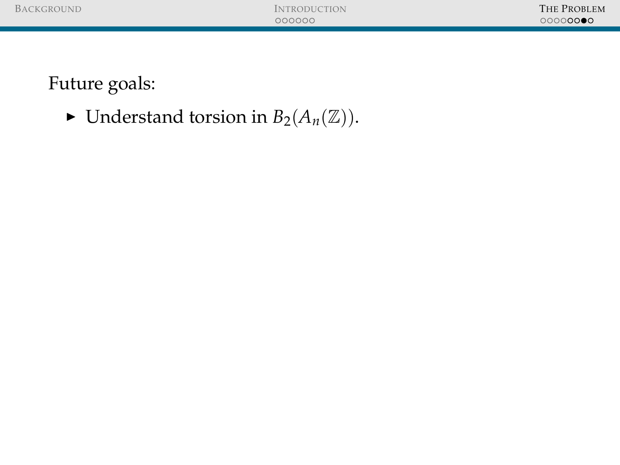$\blacktriangleright$  Understand torsion in  $B_2(A_n(\mathbb{Z}))$ .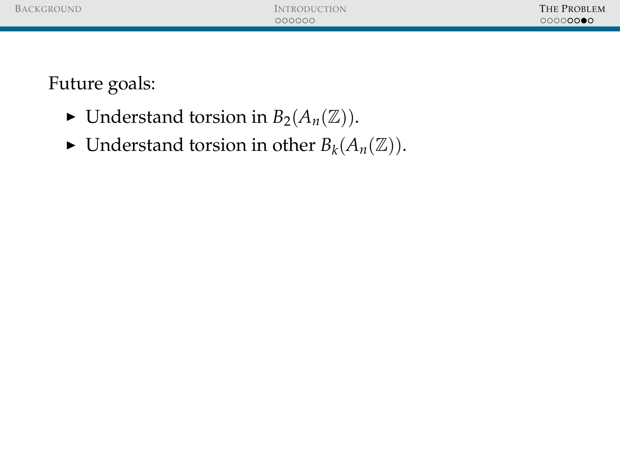| <b>BACKGROUND</b> |
|-------------------|
|-------------------|

- $\blacktriangleright$  Understand torsion in  $B_2(A_n(\mathbb{Z}))$ .
- $\blacktriangleright$  Understand torsion in other  $B_k(A_n(\mathbb{Z}))$ .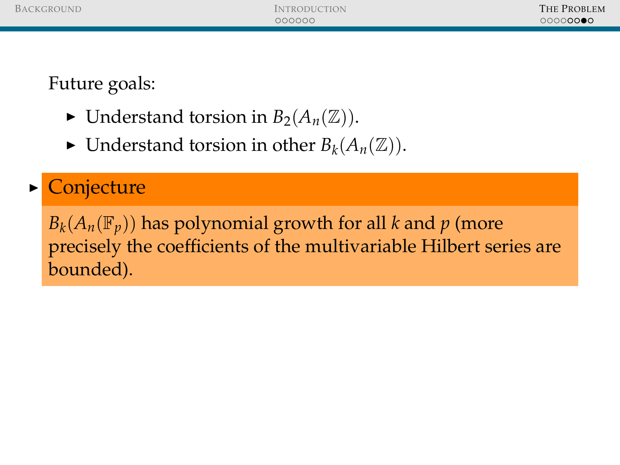- $\blacktriangleright$  Understand torsion in  $B_2(A_n(\mathbb{Z}))$ .
- $\blacktriangleright$  Understand torsion in other  $B_k(A_n(\mathbb{Z}))$ .

#### **Conjecture**

 $B_k(A_n(\mathbb{F}_p))$  has polynomial growth for all *k* and *p* (more precisely the coefficients of the multivariable Hilbert series are bounded).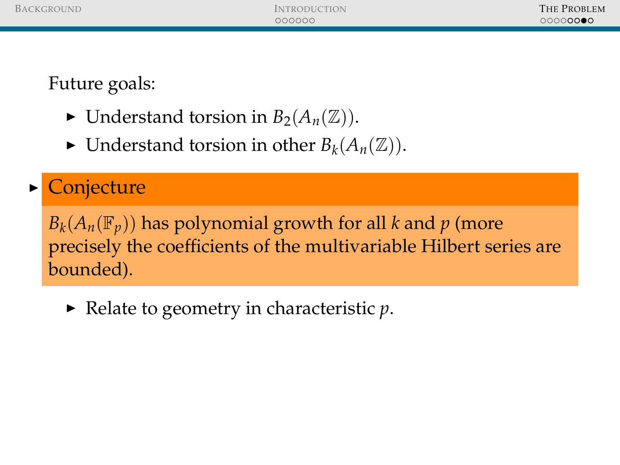- $\blacktriangleright$  Understand torsion in  $B_2(A_n(\mathbb{Z}))$ .
- $\blacktriangleright$  Understand torsion in other  $B_k(A_n(\mathbb{Z}))$ .

#### **Conjecture**

 $B_k(A_n(\mathbb{F}_p))$  has polynomial growth for all *k* and *p* (more precisely the coefficients of the multivariable Hilbert series are bounded).

 $\blacktriangleright$  Relate to geometry in characteristic *p*.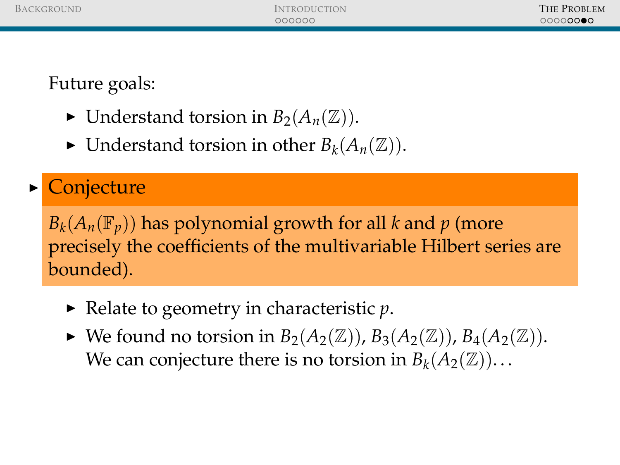- $\blacktriangleright$  Understand torsion in  $B_2(A_n(\mathbb{Z}))$ .
- $\blacktriangleright$  Understand torsion in other  $B_k(A_n(\mathbb{Z}))$ .

## **Conjecture**

 $B_k(A_n(\mathbb{F}_p))$  has polynomial growth for all *k* and *p* (more precisely the coefficients of the multivariable Hilbert series are bounded).

- $\blacktriangleright$  Relate to geometry in characteristic *p*.
- $\blacktriangleright$  We found no torsion in  $B_2(A_2(\mathbb{Z}))$ ,  $B_3(A_2(\mathbb{Z}))$ ,  $B_4(A_2(\mathbb{Z}))$ . We can conjecture there is no torsion in  $B_k(A_2(\mathbb{Z}))$ ...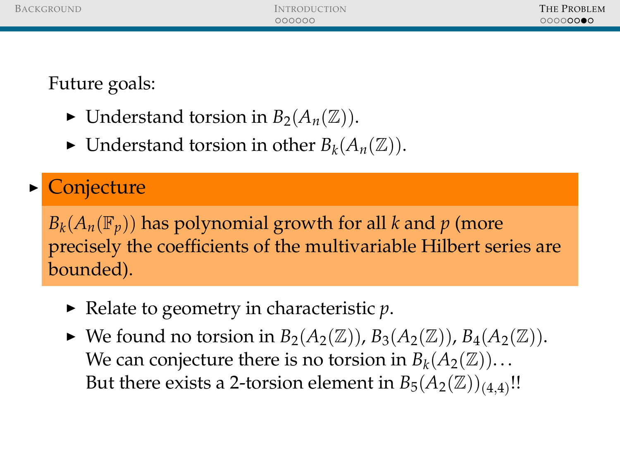- $\blacktriangleright$  Understand torsion in  $B_2(A_n(\mathbb{Z}))$ .
- $\blacktriangleright$  Understand torsion in other  $B_k(A_n(\mathbb{Z}))$ .

## **Conjecture**

 $B_k(A_n(\mathbb{F}_p))$  has polynomial growth for all *k* and *p* (more precisely the coefficients of the multivariable Hilbert series are bounded).

- $\blacktriangleright$  Relate to geometry in characteristic *p*.
- $\blacktriangleright$  We found no torsion in  $B_2(A_2(\mathbb{Z}))$ ,  $B_3(A_2(\mathbb{Z}))$ ,  $B_4(A_2(\mathbb{Z}))$ . We can conjecture there is no torsion in  $B_k(A_2(\mathbb{Z}))$ ... But there exists a 2-torsion element in  $B_5(A_2(\mathbb{Z}))_{(4,4)}$ !!